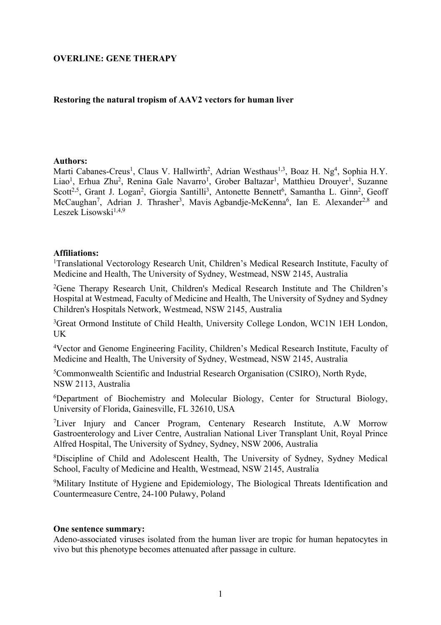## **OVERLINE: GENE THERAPY**

#### **Restoring the natural tropism of AAV2 vectors for human liver**

#### **Authors:**

Marti Cabanes-Creus<sup>1</sup>, Claus V. Hallwirth<sup>2</sup>, Adrian Westhaus<sup>1,3</sup>, Boaz H. Ng<sup>4</sup>, Sophia H.Y. Liao<sup>1</sup>, Erhua Zhu<sup>2</sup>, Renina Gale Navarro<sup>1</sup>, Grober Baltazar<sup>1</sup>, Matthieu Drouyer<sup>1</sup>, Suzanne Scott<sup>2,5</sup>, Grant J. Logan<sup>2</sup>, Giorgia Santilli<sup>3</sup>, Antonette Bennett<sup>6</sup>, Samantha L. Ginn<sup>2</sup>, Geoff McCaughan<sup>7</sup>, Adrian J. Thrasher<sup>3</sup>, Mavis Agbandje-McKenna<sup>6</sup>, Ian E. Alexander<sup>2,8</sup> and Leszek Lisowski<sup>1,4,9</sup>

#### **Affiliations:**

<sup>1</sup>Translational Vectorology Research Unit, Children's Medical Research Institute, Faculty of Medicine and Health, The University of Sydney, Westmead, NSW 2145, Australia

<sup>2</sup>Gene Therapy Research Unit, Children's Medical Research Institute and The Children's Hospital at Westmead, Faculty of Medicine and Health, The University of Sydney and Sydney Children's Hospitals Network, Westmead, NSW 2145, Australia

<sup>3</sup>Great Ormond Institute of Child Health, University College London, WC1N 1EH London, UK

4 Vector and Genome Engineering Facility, Children's Medical Research Institute, Faculty of Medicine and Health, The University of Sydney, Westmead, NSW 2145, Australia

5 Commonwealth Scientific and Industrial Research Organisation (CSIRO), North Ryde, NSW 2113, Australia

6 Department of Biochemistry and Molecular Biology, Center for Structural Biology, University of Florida, Gainesville, FL 32610, USA

<sup>7</sup>Liver Injury and Cancer Program, Centenary Research Institute, A.W Morrow Gastroenterology and Liver Centre, Australian National Liver Transplant Unit, Royal Prince Alfred Hospital, The University of Sydney, Sydney, NSW 2006, Australia

<sup>8</sup>Discipline of Child and Adolescent Health, The University of Sydney, Sydney Medical School, Faculty of Medicine and Health, Westmead, NSW 2145, Australia

<sup>9</sup>Military Institute of Hygiene and Epidemiology, The Biological Threats Identification and Countermeasure Centre, 24-100 Puławy, Poland

#### **One sentence summary:**

Adeno-associated viruses isolated from the human liver are tropic for human hepatocytes in vivo but this phenotype becomes attenuated after passage in culture.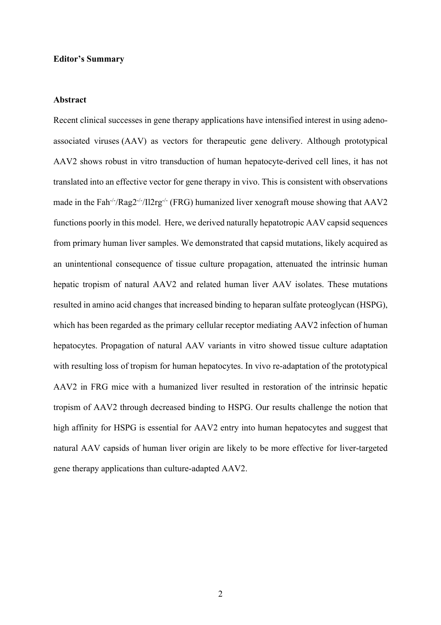#### **Editor's Summary**

#### **Abstract**

Recent clinical successes in gene therapy applications have intensified interest in using adenoassociated viruses (AAV) as vectors for therapeutic gene delivery. Although prototypical AAV2 shows robust in vitro transduction of human hepatocyte-derived cell lines, it has not translated into an effective vector for gene therapy in vivo. This is consistent with observations made in the Fah<sup>-/-</sup>/Rag2<sup>-/-</sup>/Il2rg<sup>-/-</sup> (FRG) humanized liver xenograft mouse showing that AAV2 functions poorly in this model. Here, we derived naturally hepatotropic AAV capsid sequences from primary human liver samples. We demonstrated that capsid mutations, likely acquired as an unintentional consequence of tissue culture propagation, attenuated the intrinsic human hepatic tropism of natural AAV2 and related human liver AAV isolates. These mutations resulted in amino acid changes that increased binding to heparan sulfate proteoglycan (HSPG), which has been regarded as the primary cellular receptor mediating AAV2 infection of human hepatocytes. Propagation of natural AAV variants in vitro showed tissue culture adaptation with resulting loss of tropism for human hepatocytes. In vivo re-adaptation of the prototypical AAV2 in FRG mice with a humanized liver resulted in restoration of the intrinsic hepatic tropism of AAV2 through decreased binding to HSPG. Our results challenge the notion that high affinity for HSPG is essential for AAV2 entry into human hepatocytes and suggest that natural AAV capsids of human liver origin are likely to be more effective for liver-targeted gene therapy applications than culture-adapted AAV2.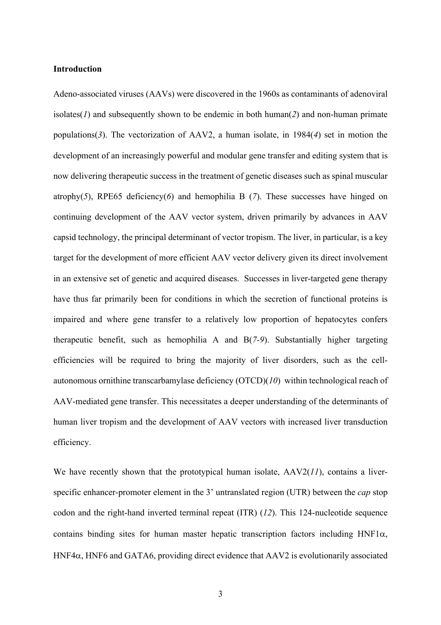#### **Introduction**

Adeno-associated viruses (AAVs) were discovered in the 1960s as contaminants of adenoviral isolates(*1*) and subsequently shown to be endemic in both human(*2*) and non-human primate populations(*3*). The vectorization of AAV2, a human isolate, in 1984(*4*) set in motion the development of an increasingly powerful and modular gene transfer and editing system that is now delivering therapeutic success in the treatment of genetic diseases such as spinal muscular atrophy(*5*), RPE65 deficiency(*6*) and hemophilia B (*7*). These successes have hinged on continuing development of the AAV vector system, driven primarily by advances in AAV capsid technology, the principal determinant of vector tropism. The liver, in particular, is a key target for the development of more efficient AAV vector delivery given its direct involvement in an extensive set of genetic and acquired diseases. Successes in liver-targeted gene therapy have thus far primarily been for conditions in which the secretion of functional proteins is impaired and where gene transfer to a relatively low proportion of hepatocytes confers therapeutic benefit, such as hemophilia A and B(*7-9*). Substantially higher targeting efficiencies will be required to bring the majority of liver disorders, such as the cellautonomous ornithine transcarbamylase deficiency (OTCD)(*10*) within technological reach of AAV-mediated gene transfer. This necessitates a deeper understanding of the determinants of human liver tropism and the development of AAV vectors with increased liver transduction efficiency.

We have recently shown that the prototypical human isolate, AAV2(*11*), contains a liverspecific enhancer-promoter element in the 3' untranslated region (UTR) between the *cap* stop codon and the right-hand inverted terminal repeat (ITR) (*12*). This 124-nucleotide sequence contains binding sites for human master hepatic transcription factors including  $HNF1\alpha$ ,  $HNF4\alpha$ ,  $HNF6$  and  $GATA6$ , providing direct evidence that  $AAV2$  is evolutionarily associated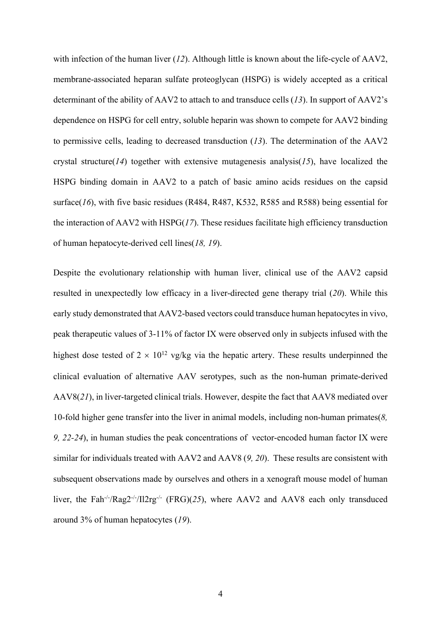with infection of the human liver (*12*). Although little is known about the life-cycle of AAV2, membrane-associated heparan sulfate proteoglycan (HSPG) is widely accepted as a critical determinant of the ability of AAV2 to attach to and transduce cells (*13*). In support of AAV2's dependence on HSPG for cell entry, soluble heparin was shown to compete for AAV2 binding to permissive cells, leading to decreased transduction (*13*). The determination of the AAV2 crystal structure(*14*) together with extensive mutagenesis analysis(*15*), have localized the HSPG binding domain in AAV2 to a patch of basic amino acids residues on the capsid surface(*16*), with five basic residues (R484, R487, K532, R585 and R588) being essential for the interaction of AAV2 with HSPG(*17*). These residues facilitate high efficiency transduction of human hepatocyte-derived cell lines(*18, 19*).

Despite the evolutionary relationship with human liver, clinical use of the AAV2 capsid resulted in unexpectedly low efficacy in a liver-directed gene therapy trial (*20*). While this early study demonstrated that AAV2-based vectors could transduce human hepatocytes in vivo, peak therapeutic values of 3-11% of factor IX were observed only in subjects infused with the highest dose tested of  $2 \times 10^{12}$  vg/kg via the hepatic artery. These results underpinned the clinical evaluation of alternative AAV serotypes, such as the non-human primate-derived AAV8(*21*), in liver-targeted clinical trials. However, despite the fact that AAV8 mediated over 10-fold higher gene transfer into the liver in animal models, including non-human primates(*8, 9, 22-24*), in human studies the peak concentrations of vector-encoded human factor IX were similar for individuals treated with AAV2 and AAV8 (*9, 20*). These results are consistent with subsequent observations made by ourselves and others in a xenograft mouse model of human liver, the Fah<sup>-/-</sup>/Rag2<sup>-/-</sup>/Il2rg<sup>-/-</sup> (FRG)(25), where AAV2 and AAV8 each only transduced around 3% of human hepatocytes (*19*).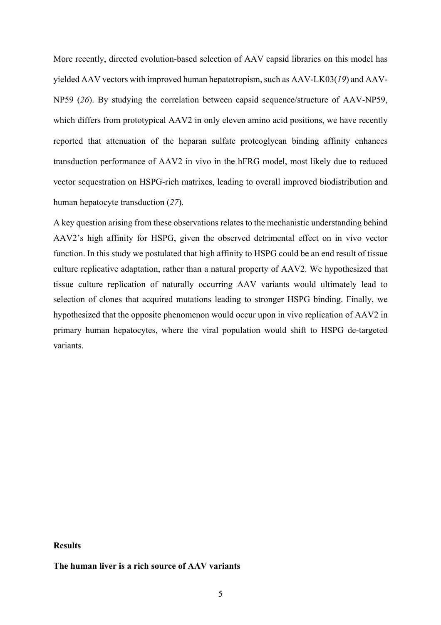More recently, directed evolution-based selection of AAV capsid libraries on this model has yielded AAV vectors with improved human hepatotropism, such as AAV-LK03(*19*) and AAV-NP59 (*26*). By studying the correlation between capsid sequence/structure of AAV-NP59, which differs from prototypical AAV2 in only eleven amino acid positions, we have recently reported that attenuation of the heparan sulfate proteoglycan binding affinity enhances transduction performance of AAV2 in vivo in the hFRG model, most likely due to reduced vector sequestration on HSPG-rich matrixes, leading to overall improved biodistribution and human hepatocyte transduction (*27*).

A key question arising from these observations relates to the mechanistic understanding behind AAV2's high affinity for HSPG, given the observed detrimental effect on in vivo vector function. In this study we postulated that high affinity to HSPG could be an end result of tissue culture replicative adaptation, rather than a natural property of AAV2. We hypothesized that tissue culture replication of naturally occurring AAV variants would ultimately lead to selection of clones that acquired mutations leading to stronger HSPG binding. Finally, we hypothesized that the opposite phenomenon would occur upon in vivo replication of AAV2 in primary human hepatocytes, where the viral population would shift to HSPG de-targeted variants.

#### **Results**

# **The human liver is a rich source of AAV variants**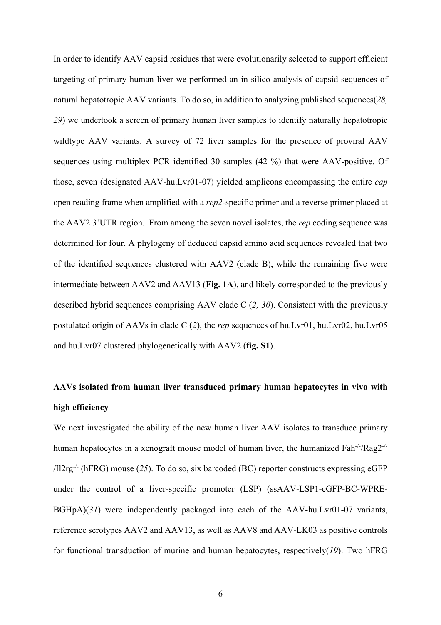In order to identify AAV capsid residues that were evolutionarily selected to support efficient targeting of primary human liver we performed an in silico analysis of capsid sequences of natural hepatotropic AAV variants. To do so, in addition to analyzing published sequences(*28, 29*) we undertook a screen of primary human liver samples to identify naturally hepatotropic wildtype AAV variants. A survey of 72 liver samples for the presence of proviral AAV sequences using multiplex PCR identified 30 samples (42 %) that were AAV-positive. Of those, seven (designated AAV-hu.Lvr01-07) yielded amplicons encompassing the entire *cap* open reading frame when amplified with a *rep2-*specific primer and a reverse primer placed at the AAV2 3'UTR region. From among the seven novel isolates, the *rep* coding sequence was determined for four. A phylogeny of deduced capsid amino acid sequences revealed that two of the identified sequences clustered with AAV2 (clade B), while the remaining five were intermediate between AAV2 and AAV13 (**Fig. 1A**), and likely corresponded to the previously described hybrid sequences comprising AAV clade C (*2, 30*). Consistent with the previously postulated origin of AAVs in clade C (*2*), the *rep* sequences of hu.Lvr01, hu.Lvr02, hu.Lvr05 and hu.Lvr07 clustered phylogenetically with AAV2 (**fig. S1**).

# **AAVs isolated from human liver transduced primary human hepatocytes in vivo with high efficiency**

We next investigated the ability of the new human liver AAV isolates to transduce primary human hepatocytes in a xenograft mouse model of human liver, the humanized Fah<sup>-/-</sup>/Rag2<sup>-/-</sup> /Il2rg-/- (hFRG) mouse (*25*). To do so, six barcoded (BC) reporter constructs expressing eGFP under the control of a liver-specific promoter (LSP) (ssAAV-LSP1-eGFP-BC-WPRE-BGHpA)(31) were independently packaged into each of the AAV-hu.Lvr01-07 variants, reference serotypes AAV2 and AAV13, as well as AAV8 and AAV-LK03 as positive controls for functional transduction of murine and human hepatocytes, respectively(*19*). Two hFRG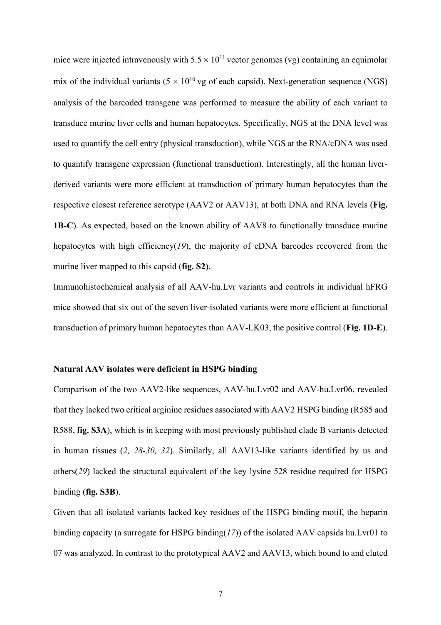mice were injected intravenously with  $5.5 \times 10^{11}$  vector genomes (vg) containing an equimolar mix of the individual variants  $(5 \times 10^{10} \text{ kg of each capsid})$ . Next-generation sequence (NGS) analysis of the barcoded transgene was performed to measure the ability of each variant to transduce murine liver cells and human hepatocytes. Specifically, NGS at the DNA level was used to quantify the cell entry (physical transduction), while NGS at the RNA/cDNA was used to quantify transgene expression (functional transduction). Interestingly, all the human liverderived variants were more efficient at transduction of primary human hepatocytes than the respective closest reference serotype (AAV2 or AAV13), at both DNA and RNA levels (**Fig. 1B-C**). As expected, based on the known ability of AAV8 to functionally transduce murine hepatocytes with high efficiency(*19*), the majority of cDNA barcodes recovered from the murine liver mapped to this capsid (**fig. S2).** 

Immunohistochemical analysis of all AAV-hu.Lvr variants and controls in individual hFRG mice showed that six out of the seven liver-isolated variants were more efficient at functional transduction of primary human hepatocytes than AAV-LK03, the positive control (**Fig. 1D-E**).

#### **Natural AAV isolates were deficient in HSPG binding**

Comparison of the two AAV2-like sequences, AAV-hu.Lvr02 and AAV-hu.Lvr06, revealed that they lacked two critical arginine residues associated with AAV2 HSPG binding (R585 and R588, **fig. S3A**), which is in keeping with most previously published clade B variants detected in human tissues (*2, 28-30, 32*). Similarly, all AAV13-like variants identified by us and others(*29*) lacked the structural equivalent of the key lysine 528 residue required for HSPG binding (**fig. S3B**).

Given that all isolated variants lacked key residues of the HSPG binding motif, the heparin binding capacity (a surrogate for HSPG binding(*17*)) of the isolated AAV capsids hu.Lvr01 to 07 was analyzed. In contrast to the prototypical AAV2 and AAV13, which bound to and eluted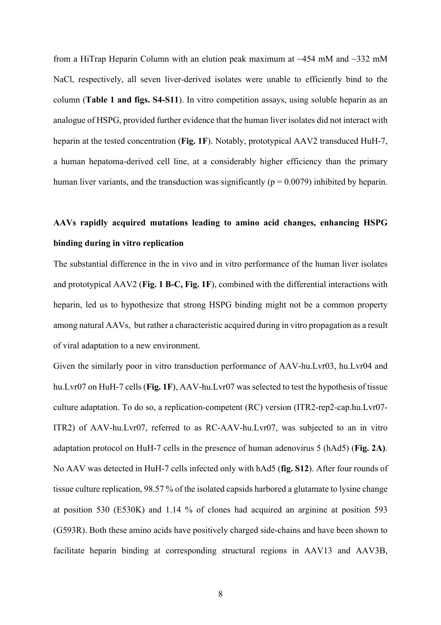from a HiTrap Heparin Column with an elution peak maximum at  $\sim$ 454 mM and  $\sim$ 332 mM NaCl, respectively, all seven liver-derived isolates were unable to efficiently bind to the column (**Table 1 and figs. S4-S11**). In vitro competition assays, using soluble heparin as an analogue of HSPG, provided further evidence that the human liver isolates did not interact with heparin at the tested concentration (**Fig. 1F**). Notably, prototypical AAV2 transduced HuH-7, a human hepatoma-derived cell line, at a considerably higher efficiency than the primary human liver variants, and the transduction was significantly ( $p = 0.0079$ ) inhibited by heparin.

# **AAVs rapidly acquired mutations leading to amino acid changes, enhancing HSPG binding during in vitro replication**

The substantial difference in the in vivo and in vitro performance of the human liver isolates and prototypical AAV2 (**Fig. 1 B-C, Fig. 1F**), combined with the differential interactions with heparin, led us to hypothesize that strong HSPG binding might not be a common property among natural AAVs, but rather a characteristic acquired during in vitro propagation as a result of viral adaptation to a new environment.

Given the similarly poor in vitro transduction performance of AAV-hu.Lvr03, hu.Lvr04 and hu.Lvr07 on HuH-7 cells (**Fig. 1F**), AAV-hu.Lvr07 was selected to test the hypothesis of tissue culture adaptation. To do so, a replication-competent (RC) version (ITR2-rep2-cap.hu.Lvr07- ITR2) of AAV-hu.Lvr07, referred to as RC-AAV-hu.Lvr07, was subjected to an in vitro adaptation protocol on HuH-7 cells in the presence of human adenovirus 5 (hAd5) (**Fig. 2A)**. No AAV was detected in HuH-7 cells infected only with hAd5 (**fig. S12**). After four rounds of tissue culture replication, 98.57 % of the isolated capsids harbored a glutamate to lysine change at position 530 (E530K) and 1.14 % of clones had acquired an arginine at position 593 (G593R). Both these amino acids have positively charged side-chains and have been shown to facilitate heparin binding at corresponding structural regions in AAV13 and AAV3B,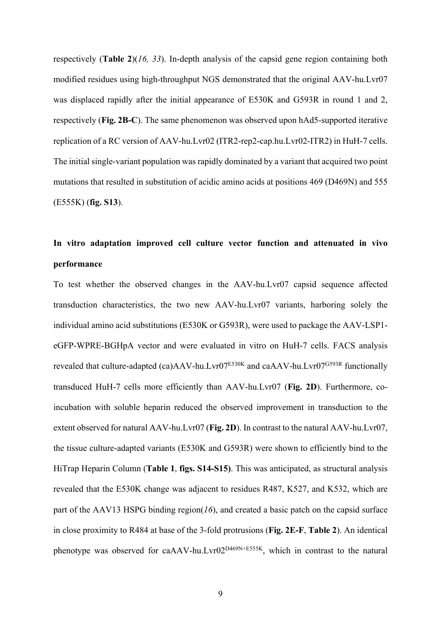respectively (**Table 2**)(*16, 33*). In-depth analysis of the capsid gene region containing both modified residues using high-throughput NGS demonstrated that the original AAV-hu.Lvr07 was displaced rapidly after the initial appearance of E530K and G593R in round 1 and 2, respectively (**Fig. 2B-C**). The same phenomenon was observed upon hAd5-supported iterative replication of a RC version of AAV-hu.Lvr02 (ITR2-rep2-cap.hu.Lvr02-ITR2) in HuH-7 cells. The initial single-variant population was rapidly dominated by a variant that acquired two point mutations that resulted in substitution of acidic amino acids at positions 469 (D469N) and 555 (E555K) (**fig. S13**).

# **In vitro adaptation improved cell culture vector function and attenuated in vivo performance**

To test whether the observed changes in the AAV-hu.Lvr07 capsid sequence affected transduction characteristics, the two new AAV-hu.Lvr07 variants, harboring solely the individual amino acid substitutions (E530K or G593R), were used to package the AAV-LSP1 eGFP-WPRE-BGHpA vector and were evaluated in vitro on HuH-7 cells. FACS analysis revealed that culture-adapted (ca)AAV-hu.Lvr07E530K and caAAV-hu.Lvr07G593R functionally transduced HuH-7 cells more efficiently than AAV-hu.Lvr07 (**Fig. 2D**). Furthermore, coincubation with soluble heparin reduced the observed improvement in transduction to the extent observed for natural AAV-hu.Lvr07 (**Fig. 2D**). In contrast to the natural AAV-hu.Lvr07, the tissue culture-adapted variants (E530K and G593R) were shown to efficiently bind to the HiTrap Heparin Column (**Table 1**, **figs. S14-S15)**. This was anticipated, as structural analysis revealed that the E530K change was adjacent to residues R487, K527, and K532, which are part of the AAV13 HSPG binding region(*16*), and created a basic patch on the capsid surface in close proximity to R484 at base of the 3-fold protrusions (**Fig. 2E-F**, **Table 2**). An identical phenotype was observed for caAAV-hu.Lvr02<sup>D469N+E555K</sup>, which in contrast to the natural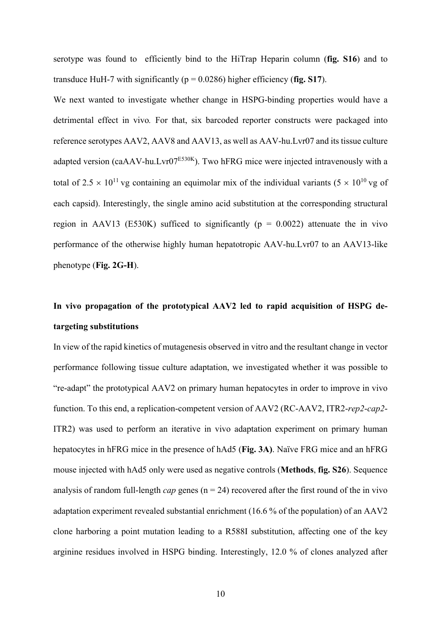serotype was found to efficiently bind to the HiTrap Heparin column (**fig. S16**) and to transduce HuH-7 with significantly ( $p = 0.0286$ ) higher efficiency (**fig.** S17).

We next wanted to investigate whether change in HSPG-binding properties would have a detrimental effect in vivo*.* For that, six barcoded reporter constructs were packaged into reference serotypes AAV2, AAV8 and AAV13, as well as AAV-hu.Lvr07 and its tissue culture adapted version (caAAV-hu.Lvr $07^{E530K}$ ). Two hFRG mice were injected intravenously with a total of 2.5  $\times$  10<sup>11</sup> vg containing an equimolar mix of the individual variants (5  $\times$  10<sup>10</sup> vg of each capsid). Interestingly, the single amino acid substitution at the corresponding structural region in AAV13 (E530K) sufficed to significantly ( $p = 0.0022$ ) attenuate the in vivo performance of the otherwise highly human hepatotropic AAV-hu.Lvr07 to an AAV13-like phenotype (**Fig. 2G-H**).

# **In vivo propagation of the prototypical AAV2 led to rapid acquisition of HSPG detargeting substitutions**

In view of the rapid kinetics of mutagenesis observed in vitro and the resultant change in vector performance following tissue culture adaptation, we investigated whether it was possible to "re-adapt" the prototypical AAV2 on primary human hepatocytes in order to improve in vivo function. To this end, a replication-competent version of AAV2 (RC-AAV2, ITR2-*rep2*-*cap2*- ITR2) was used to perform an iterative in vivo adaptation experiment on primary human hepatocytes in hFRG mice in the presence of hAd5 (**Fig. 3A)**. Naïve FRG mice and an hFRG mouse injected with hAd5 only were used as negative controls (**Methods**, **fig. S26**). Sequence analysis of random full-length *cap* genes ( $n = 24$ ) recovered after the first round of the in vivo adaptation experiment revealed substantial enrichment (16.6 % of the population) of an AAV2 clone harboring a point mutation leading to a R588I substitution, affecting one of the key arginine residues involved in HSPG binding. Interestingly, 12.0 % of clones analyzed after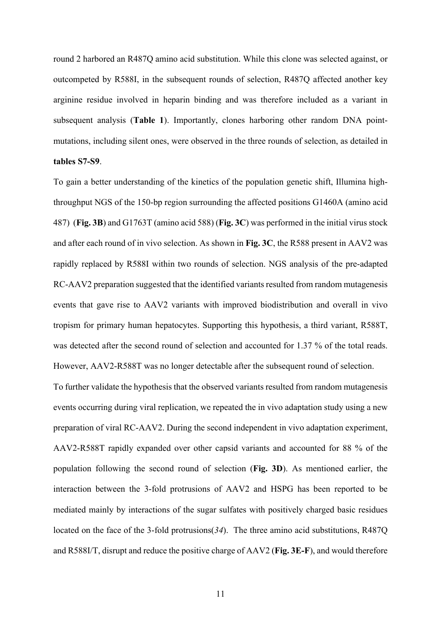round 2 harbored an R487Q amino acid substitution. While this clone was selected against, or outcompeted by R588I, in the subsequent rounds of selection, R487Q affected another key arginine residue involved in heparin binding and was therefore included as a variant in subsequent analysis (**Table 1**). Importantly, clones harboring other random DNA pointmutations, including silent ones, were observed in the three rounds of selection, as detailed in **tables S7-S9**.

To gain a better understanding of the kinetics of the population genetic shift, Illumina highthroughput NGS of the 150-bp region surrounding the affected positions G1460A (amino acid 487) (**Fig. 3B**) and G1763T (amino acid 588) (**Fig. 3C**) was performed in the initial virus stock and after each round of in vivo selection. As shown in **Fig. 3C**, the R588 present in AAV2 was rapidly replaced by R588I within two rounds of selection. NGS analysis of the pre-adapted RC-AAV2 preparation suggested that the identified variants resulted from random mutagenesis events that gave rise to AAV2 variants with improved biodistribution and overall in vivo tropism for primary human hepatocytes. Supporting this hypothesis, a third variant, R588T, was detected after the second round of selection and accounted for 1.37 % of the total reads. However, AAV2-R588T was no longer detectable after the subsequent round of selection.

To further validate the hypothesis that the observed variants resulted from random mutagenesis events occurring during viral replication, we repeated the in vivo adaptation study using a new preparation of viral RC-AAV2. During the second independent in vivo adaptation experiment, AAV2-R588T rapidly expanded over other capsid variants and accounted for 88 % of the population following the second round of selection (**Fig. 3D**). As mentioned earlier, the interaction between the 3-fold protrusions of AAV2 and HSPG has been reported to be mediated mainly by interactions of the sugar sulfates with positively charged basic residues located on the face of the 3-fold protrusions(*34*). The three amino acid substitutions, R487Q and R588I/T, disrupt and reduce the positive charge of AAV2 (**Fig. 3E-F**), and would therefore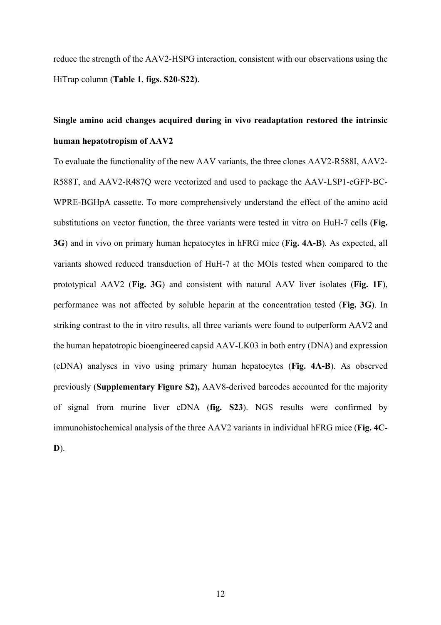reduce the strength of the AAV2-HSPG interaction, consistent with our observations using the HiTrap column (**Table 1**, **figs. S20-S22)**.

# **Single amino acid changes acquired during in vivo readaptation restored the intrinsic human hepatotropism of AAV2**

To evaluate the functionality of the new AAV variants, the three clones AAV2-R588I, AAV2- R588T, and AAV2-R487Q were vectorized and used to package the AAV-LSP1-eGFP-BC-WPRE-BGHpA cassette. To more comprehensively understand the effect of the amino acid substitutions on vector function, the three variants were tested in vitro on HuH-7 cells (**Fig. 3G**) and in vivo on primary human hepatocytes in hFRG mice (**Fig. 4A-B**)*.* As expected, all variants showed reduced transduction of HuH-7 at the MOIs tested when compared to the prototypical AAV2 (**Fig. 3G**) and consistent with natural AAV liver isolates (**Fig. 1F**), performance was not affected by soluble heparin at the concentration tested (**Fig. 3G**). In striking contrast to the in vitro results, all three variants were found to outperform AAV2 and the human hepatotropic bioengineered capsid AAV-LK03 in both entry (DNA) and expression (cDNA) analyses in vivo using primary human hepatocytes (**Fig. 4A-B**). As observed previously (**Supplementary Figure S2),** AAV8-derived barcodes accounted for the majority of signal from murine liver cDNA (**fig. S23**). NGS results were confirmed by immunohistochemical analysis of the three AAV2 variants in individual hFRG mice (**Fig. 4C-D**).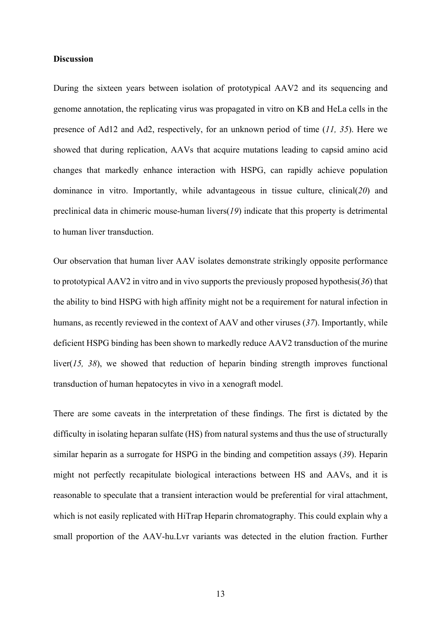#### **Discussion**

During the sixteen years between isolation of prototypical AAV2 and its sequencing and genome annotation, the replicating virus was propagated in vitro on KB and HeLa cells in the presence of Ad12 and Ad2, respectively, for an unknown period of time (*11, 35*). Here we showed that during replication, AAVs that acquire mutations leading to capsid amino acid changes that markedly enhance interaction with HSPG, can rapidly achieve population dominance in vitro. Importantly, while advantageous in tissue culture, clinical(*20*) and preclinical data in chimeric mouse-human livers(*19*) indicate that this property is detrimental to human liver transduction.

Our observation that human liver AAV isolates demonstrate strikingly opposite performance to prototypical AAV2 in vitro and in vivo supports the previously proposed hypothesis(*36*) that the ability to bind HSPG with high affinity might not be a requirement for natural infection in humans, as recently reviewed in the context of AAV and other viruses (*37*). Importantly, while deficient HSPG binding has been shown to markedly reduce AAV2 transduction of the murine liver(15, 38), we showed that reduction of heparin binding strength improves functional transduction of human hepatocytes in vivo in a xenograft model.

There are some caveats in the interpretation of these findings. The first is dictated by the difficulty in isolating heparan sulfate (HS) from natural systems and thus the use of structurally similar heparin as a surrogate for HSPG in the binding and competition assays (*39*). Heparin might not perfectly recapitulate biological interactions between HS and AAVs, and it is reasonable to speculate that a transient interaction would be preferential for viral attachment, which is not easily replicated with HiTrap Heparin chromatography. This could explain why a small proportion of the AAV-hu.Lvr variants was detected in the elution fraction. Further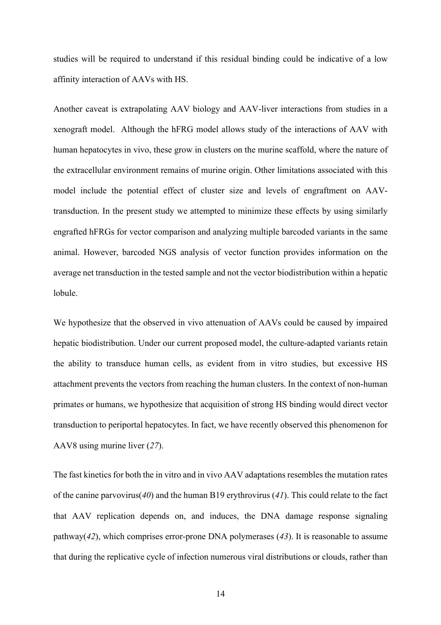studies will be required to understand if this residual binding could be indicative of a low affinity interaction of AAVs with HS.

Another caveat is extrapolating AAV biology and AAV-liver interactions from studies in a xenograft model. Although the hFRG model allows study of the interactions of AAV with human hepatocytes in vivo, these grow in clusters on the murine scaffold, where the nature of the extracellular environment remains of murine origin. Other limitations associated with this model include the potential effect of cluster size and levels of engraftment on AAVtransduction. In the present study we attempted to minimize these effects by using similarly engrafted hFRGs for vector comparison and analyzing multiple barcoded variants in the same animal. However, barcoded NGS analysis of vector function provides information on the average net transduction in the tested sample and not the vector biodistribution within a hepatic lobule.

We hypothesize that the observed in vivo attenuation of AAVs could be caused by impaired hepatic biodistribution. Under our current proposed model, the culture-adapted variants retain the ability to transduce human cells, as evident from in vitro studies, but excessive HS attachment prevents the vectors from reaching the human clusters. In the context of non-human primates or humans, we hypothesize that acquisition of strong HS binding would direct vector transduction to periportal hepatocytes. In fact, we have recently observed this phenomenon for AAV8 using murine liver (*27*).

The fast kinetics for both the in vitro and in vivo AAV adaptations resembles the mutation rates of the canine parvovirus(*40*) and the human B19 erythrovirus (*41*). This could relate to the fact that AAV replication depends on, and induces, the DNA damage response signaling pathway(*42*), which comprises error-prone DNA polymerases (*43*). It is reasonable to assume that during the replicative cycle of infection numerous viral distributions or clouds, rather than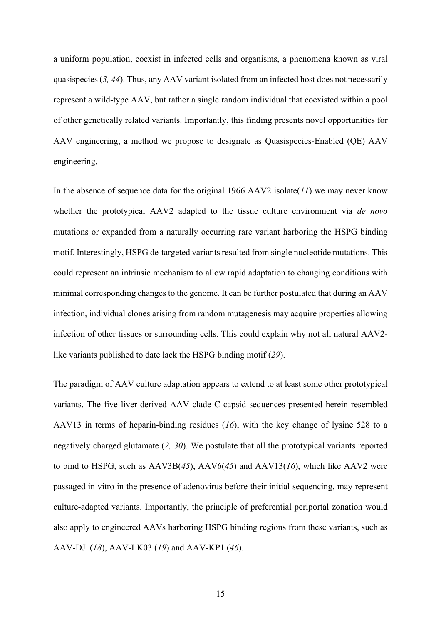a uniform population, coexist in infected cells and organisms, a phenomena known as viral quasispecies (*3, 44*). Thus, any AAV variant isolated from an infected host does not necessarily represent a wild-type AAV, but rather a single random individual that coexisted within a pool of other genetically related variants. Importantly, this finding presents novel opportunities for AAV engineering, a method we propose to designate as Quasispecies-Enabled (QE) AAV engineering.

In the absence of sequence data for the original 1966 AAV2 isolate(*11*) we may never know whether the prototypical AAV2 adapted to the tissue culture environment via *de novo*  mutations or expanded from a naturally occurring rare variant harboring the HSPG binding motif. Interestingly, HSPG de-targeted variants resulted from single nucleotide mutations. This could represent an intrinsic mechanism to allow rapid adaptation to changing conditions with minimal corresponding changes to the genome. It can be further postulated that during an AAV infection, individual clones arising from random mutagenesis may acquire properties allowing infection of other tissues or surrounding cells. This could explain why not all natural AAV2 like variants published to date lack the HSPG binding motif (*29*).

The paradigm of AAV culture adaptation appears to extend to at least some other prototypical variants. The five liver-derived AAV clade C capsid sequences presented herein resembled AAV13 in terms of heparin-binding residues (*16*), with the key change of lysine 528 to a negatively charged glutamate (*2, 30*). We postulate that all the prototypical variants reported to bind to HSPG, such as AAV3B(*45*), AAV6(*45*) and AAV13(*16*), which like AAV2 were passaged in vitro in the presence of adenovirus before their initial sequencing, may represent culture-adapted variants. Importantly, the principle of preferential periportal zonation would also apply to engineered AAVs harboring HSPG binding regions from these variants, such as AAV-DJ (*18*), AAV-LK03 (*19*) and AAV-KP1 (*46*).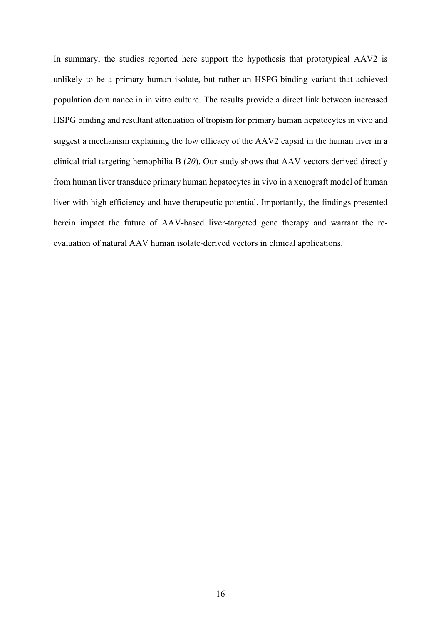In summary, the studies reported here support the hypothesis that prototypical AAV2 is unlikely to be a primary human isolate, but rather an HSPG-binding variant that achieved population dominance in in vitro culture. The results provide a direct link between increased HSPG binding and resultant attenuation of tropism for primary human hepatocytes in vivo and suggest a mechanism explaining the low efficacy of the AAV2 capsid in the human liver in a clinical trial targeting hemophilia B (*20*). Our study shows that AAV vectors derived directly from human liver transduce primary human hepatocytes in vivo in a xenograft model of human liver with high efficiency and have therapeutic potential. Importantly, the findings presented herein impact the future of AAV-based liver-targeted gene therapy and warrant the reevaluation of natural AAV human isolate-derived vectors in clinical applications.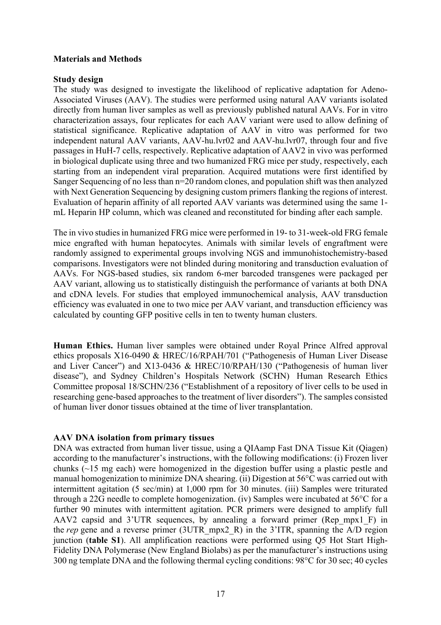## **Materials and Methods**

## **Study design**

The study was designed to investigate the likelihood of replicative adaptation for Adeno-Associated Viruses (AAV). The studies were performed using natural AAV variants isolated directly from human liver samples as well as previously published natural AAVs. For in vitro characterization assays, four replicates for each AAV variant were used to allow defining of statistical significance. Replicative adaptation of AAV in vitro was performed for two independent natural AAV variants, AAV-hu.lvr02 and AAV-hu.lvr07, through four and five passages in HuH-7 cells, respectively. Replicative adaptation of AAV2 in vivo was performed in biological duplicate using three and two humanized FRG mice per study, respectively, each starting from an independent viral preparation. Acquired mutations were first identified by Sanger Sequencing of no less than n=20 random clones, and population shift was then analyzed with Next Generation Sequencing by designing custom primers flanking the regions of interest. Evaluation of heparin affinity of all reported AAV variants was determined using the same 1 mL Heparin HP column, which was cleaned and reconstituted for binding after each sample.

The in vivo studies in humanized FRG mice were performed in 19- to 31-week-old FRG female mice engrafted with human hepatocytes. Animals with similar levels of engraftment were randomly assigned to experimental groups involving NGS and immunohistochemistry-based comparisons. Investigators were not blinded during monitoring and transduction evaluation of AAVs. For NGS-based studies, six random 6-mer barcoded transgenes were packaged per AAV variant, allowing us to statistically distinguish the performance of variants at both DNA and cDNA levels. For studies that employed immunochemical analysis, AAV transduction efficiency was evaluated in one to two mice per AAV variant, and transduction efficiency was calculated by counting GFP positive cells in ten to twenty human clusters.

**Human Ethics.** Human liver samples were obtained under Royal Prince Alfred approval ethics proposals X16-0490 & HREC/16/RPAH/701 ("Pathogenesis of Human Liver Disease and Liver Cancer") and X13-0436 & HREC/10/RPAH/130 ("Pathogenesis of human liver disease"), and Sydney Children's Hospitals Network (SCHN) Human Research Ethics Committee proposal 18/SCHN/236 ("Establishment of a repository of liver cells to be used in researching gene-based approaches to the treatment of liver disorders"). The samples consisted of human liver donor tissues obtained at the time of liver transplantation.

## **AAV DNA isolation from primary tissues**

DNA was extracted from human liver tissue, using a QIAamp Fast DNA Tissue Kit (Qiagen) according to the manufacturer's instructions, with the following modifications: (i) Frozen liver chunks (~15 mg each) were homogenized in the digestion buffer using a plastic pestle and manual homogenization to minimize DNA shearing. (ii) Digestion at 56°C was carried out with intermittent agitation (5 sec/min) at 1,000 rpm for 30 minutes. (iii) Samples were triturated through a 22G needle to complete homogenization. (iv) Samples were incubated at 56°C for a further 90 minutes with intermittent agitation. PCR primers were designed to amplify full AAV2 capsid and 3'UTR sequences, by annealing a forward primer (Rep\_mpx1\_F) in the *rep* gene and a reverse primer (3UTR\_mpx2\_R) in the 3'ITR, spanning the A/D region junction (**table S1**). All amplification reactions were performed using Q5 Hot Start High-Fidelity DNA Polymerase (New England Biolabs) as per the manufacturer's instructions using 300 ng template DNA and the following thermal cycling conditions: 98°C for 30 sec; 40 cycles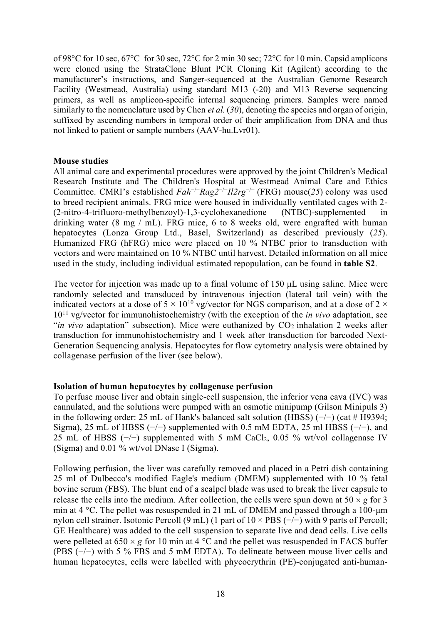of 98°C for 10 sec, 67°C for 30 sec, 72°C for 2 min 30 sec; 72°C for 10 min. Capsid amplicons were cloned using the StrataClone Blunt PCR Cloning Kit (Agilent) according to the manufacturer's instructions, and Sanger-sequenced at the Australian Genome Research Facility (Westmead, Australia) using standard M13 (-20) and M13 Reverse sequencing primers, as well as amplicon-specific internal sequencing primers. Samples were named similarly to the nomenclature used by Chen *et al.* (*30*), denoting the species and organ of origin, suffixed by ascending numbers in temporal order of their amplification from DNA and thus not linked to patient or sample numbers (AAV-hu.Lvr01).

#### **Mouse studies**

All animal care and experimental procedures were approved by the joint Children's Medical Research Institute and The Children's Hospital at Westmead Animal Care and Ethics Committee. CMRI's established *Fah*−/−*Rag2*−/−*Il2rg*−/− (FRG) mouse(*25*) colony was used to breed recipient animals. FRG mice were housed in individually ventilated cages with 2-  $(2-nitro-4-trifluoro-methylbenzoyl)-1,3-cyclohexanedione (NTBC)-supplemented$ drinking water (8 mg / mL). FRG mice, 6 to 8 weeks old, were engrafted with human hepatocytes (Lonza Group Ltd., Basel, Switzerland) as described previously (*25*). Humanized FRG (hFRG) mice were placed on 10 % NTBC prior to transduction with vectors and were maintained on 10 % NTBC until harvest. Detailed information on all mice used in the study, including individual estimated repopulation, can be found in **table S2**.

The vector for injection was made up to a final volume of 150 μL using saline. Mice were randomly selected and transduced by intravenous injection (lateral tail vein) with the indicated vectors at a dose of  $5 \times 10^{10}$  vg/vector for NGS comparison, and at a dose of 2  $\times$ 1011 vg/vector for immunohistochemistry (with the exception of the *in vivo* adaptation, see "*in vivo* adaptation" subsection). Mice were euthanized by  $CO<sub>2</sub>$  inhalation 2 weeks after transduction for immunohistochemistry and 1 week after transduction for barcoded Next-Generation Sequencing analysis. Hepatocytes for flow cytometry analysis were obtained by collagenase perfusion of the liver (see below).

#### **Isolation of human hepatocytes by collagenase perfusion**

To perfuse mouse liver and obtain single-cell suspension, the inferior vena cava (IVC) was cannulated, and the solutions were pumped with an osmotic minipump (Gilson Minipuls 3) in the following order: 25 mL of Hank's balanced salt solution (HBSS) (−/−) (cat # H9394; Sigma), 25 mL of HBSS  $(-/-)$  supplemented with 0.5 mM EDTA, 25 ml HBSS  $(-/-)$ , and 25 mL of HBSS (-/-) supplemented with 5 mM CaCl<sub>2</sub>, 0.05 % wt/vol collagenase IV (Sigma) and 0.01 % wt/vol DNase I (Sigma).

Following perfusion, the liver was carefully removed and placed in a Petri dish containing 25 ml of Dulbecco's modified Eagle's medium (DMEM) supplemented with 10 % fetal bovine serum (FBS). The blunt end of a scalpel blade was used to break the liver capsule to release the cells into the medium. After collection, the cells were spun down at  $50 \times g$  for 3 min at 4 °C. The pellet was resuspended in 21 mL of DMEM and passed through a 100-μm nylon cell strainer. Isotonic Percoll (9 mL) (1 part of 10 × PBS (-/-) with 9 parts of Percoll; GE Healthcare) was added to the cell suspension to separate live and dead cells. Live cells were pelleted at  $650 \times g$  for 10 min at 4 °C and the pellet was resuspended in FACS buffer (PBS (−/−) with 5 % FBS and 5 mM EDTA). To delineate between mouse liver cells and human hepatocytes, cells were labelled with phycoerythrin (PE)-conjugated anti-human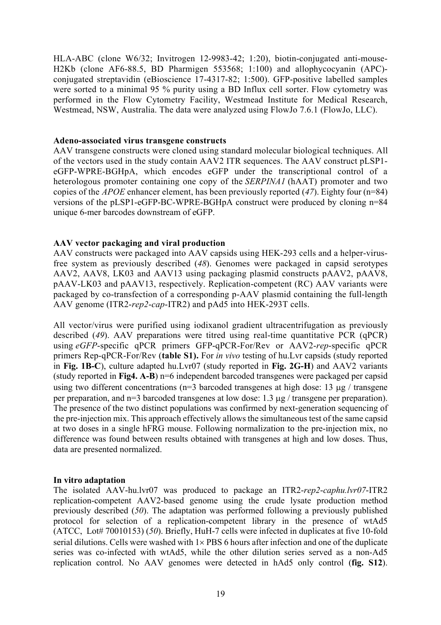HLA-ABC (clone W6/32; Invitrogen 12-9983-42; 1:20), biotin-conjugated anti-mouse-H2Kb (clone AF6-88.5, BD Pharmigen 553568; 1:100) and allophycocyanin (APC) conjugated streptavidin (eBioscience 17-4317-82; 1:500). GFP-positive labelled samples were sorted to a minimal 95 % purity using a BD Influx cell sorter. Flow cytometry was performed in the Flow Cytometry Facility, Westmead Institute for Medical Research, Westmead, NSW, Australia. The data were analyzed using FlowJo 7.6.1 (FlowJo, LLC).

#### **Adeno-associated virus transgene constructs**

AAV transgene constructs were cloned using standard molecular biological techniques. All of the vectors used in the study contain AAV2 ITR sequences. The AAV construct pLSP1 eGFP-WPRE-BGHpA, which encodes eGFP under the transcriptional control of a heterologous promoter containing one copy of the *SERPINA1* (hAAT) promoter and two copies of the *APOE* enhancer element, has been previously reported (*47*). Eighty four (n=84) versions of the pLSP1-eGFP-BC-WPRE-BGHpA construct were produced by cloning n=84 unique 6-mer barcodes downstream of eGFP.

## **AAV vector packaging and viral production**

AAV constructs were packaged into AAV capsids using HEK-293 cells and a helper-virusfree system as previously described (*48*). Genomes were packaged in capsid serotypes AAV2, AAV8, LK03 and AAV13 using packaging plasmid constructs pAAV2, pAAV8, pAAV-LK03 and pAAV13, respectively. Replication-competent (RC) AAV variants were packaged by co-transfection of a corresponding p-AAV plasmid containing the full-length AAV genome (ITR2-*rep2*-*cap*-ITR2) and pAd5 into HEK-293T cells.

All vector/virus were purified using iodixanol gradient ultracentrifugation as previously described (*49*). AAV preparations were titred using real-time quantitative PCR (qPCR) using *eGFP*-specific qPCR primers GFP-qPCR-For/Rev or AAV2-*rep*-specific qPCR primers Rep-qPCR-For/Rev (**table S1).** For *in vivo* testing of hu.Lvr capsids (study reported in **Fig. 1B-C**), culture adapted hu.Lvr07 (study reported in **Fig. 2G-H**) and AAV2 variants (study reported in **Fig4. A-B**) n=6 independent barcoded transgenes were packaged per capsid using two different concentrations ( $n=3$  barcoded transgenes at high dose: 13  $\mu$ g / transgene per preparation, and n=3 barcoded transgenes at low dose: 1.3 µg / transgene per preparation). The presence of the two distinct populations was confirmed by next-generation sequencing of the pre-injection mix. This approach effectively allows the simultaneous test of the same capsid at two doses in a single hFRG mouse. Following normalization to the pre-injection mix, no difference was found between results obtained with transgenes at high and low doses. Thus, data are presented normalized.

#### **In vitro adaptation**

The isolated AAV-hu.lvr07 was produced to package an ITR2-*rep2*-*caphu.lvr07*-ITR2 replication-competent AAV2-based genome using the crude lysate production method previously described (*50*). The adaptation was performed following a previously published protocol for selection of a replication-competent library in the presence of wtAd5 (ATCC, Lot# 70010153) (*50*). Briefly, HuH-7 cells were infected in duplicates at five 10-fold serial dilutions. Cells were washed with  $1 \times PBS$  6 hours after infection and one of the duplicate series was co-infected with wtAd5, while the other dilution series served as a non-Ad5 replication control. No AAV genomes were detected in hAd5 only control (**fig. S12**).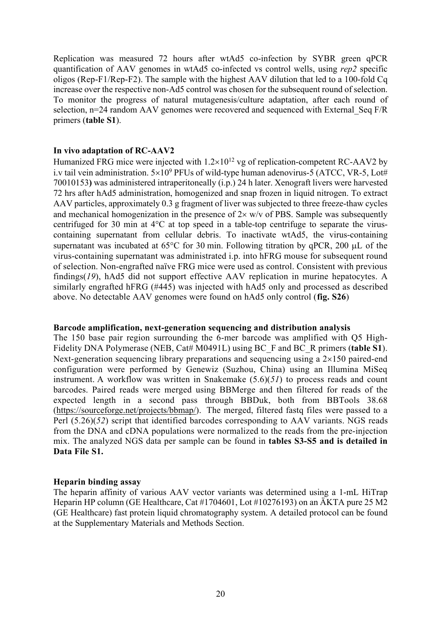Replication was measured 72 hours after wtAd5 co-infection by SYBR green qPCR quantification of AAV genomes in wtAd5 co-infected vs control wells, using *rep2* specific oligos (Rep-F1/Rep-F2). The sample with the highest AAV dilution that led to a 100-fold Cq increase over the respective non-Ad5 control was chosen for the subsequent round of selection. To monitor the progress of natural mutagenesis/culture adaptation, after each round of selection, n=24 random AAV genomes were recovered and sequenced with External Seq F/R primers (**table S1**).

## **In vivo adaptation of RC-AAV2**

Humanized FRG mice were injected with  $1.2 \times 10^{12}$  vg of replication-competent RC-AAV2 by i.v tail vein administration.  $5\times10^9$  PFUs of wild-type human adenovirus-5 (ATCC, VR-5, Lot# 70010153**)** was administered intraperitoneally (i.p.) 24 h later. Xenograft livers were harvested 72 hrs after hAd5 administration, homogenized and snap frozen in liquid nitrogen. To extract AAV particles, approximately 0.3 g fragment of liver was subjected to three freeze-thaw cycles and mechanical homogenization in the presence of  $2 \times w/v$  of PBS. Sample was subsequently centrifuged for 30 min at 4°C at top speed in a table-top centrifuge to separate the viruscontaining supernatant from cellular debris. To inactivate wtAd5, the virus-containing supernatant was incubated at 65°C for 30 min. Following titration by qPCR, 200 µL of the virus-containing supernatant was administrated i.p. into hFRG mouse for subsequent round of selection. Non-engrafted naïve FRG mice were used as control. Consistent with previous findings(*19*), hAd5 did not support effective AAV replication in murine hepatocytes. A similarly engrafted hFRG (#445) was injected with hAd5 only and processed as described above. No detectable AAV genomes were found on hAd5 only control (**fig. S26**)

#### **Barcode amplification, next-generation sequencing and distribution analysis**

The 150 base pair region surrounding the 6-mer barcode was amplified with Q5 High-Fidelity DNA Polymerase (NEB, Cat# M0491L) using BC\_F and BC\_R primers (**table S1**). Next-generation sequencing library preparations and sequencing using a  $2\times150$  paired-end configuration were performed by Genewiz (Suzhou, China) using an Illumina MiSeq instrument. A workflow was written in Snakemake (5.6)(*51*) to process reads and count barcodes. Paired reads were merged using BBMerge and then filtered for reads of the expected length in a second pass through BBDuk, both from BBTools 38.68 (https://sourceforge.net/projects/bbmap/). The merged, filtered fastq files were passed to a Perl (5.26)(*52*) script that identified barcodes corresponding to AAV variants. NGS reads from the DNA and cDNA populations were normalized to the reads from the pre-injection mix. The analyzed NGS data per sample can be found in **tables S3-S5 and is detailed in Data File S1.** 

#### **Heparin binding assay**

The heparin affinity of various AAV vector variants was determined using a 1-mL HiTrap Heparin HP column (GE Healthcare, Cat #1704601, Lot #10276193) on an ÄKTA pure 25 M2 (GE Healthcare) fast protein liquid chromatography system. A detailed protocol can be found at the Supplementary Materials and Methods Section.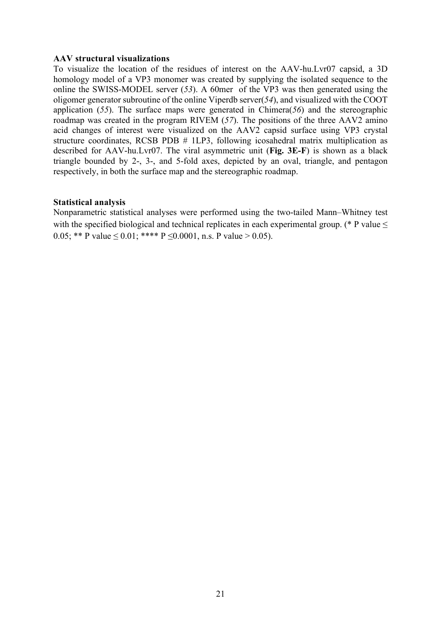#### **AAV structural visualizations**

To visualize the location of the residues of interest on the AAV-hu.Lvr07 capsid, a 3D homology model of a VP3 monomer was created by supplying the isolated sequence to the online the SWISS-MODEL server (*53*). A 60mer of the VP3 was then generated using the oligomer generator subroutine of the online Viperdb server(*54*), and visualized with the COOT application (*55*). The surface maps were generated in Chimera(*56*) and the stereographic roadmap was created in the program RIVEM (*57*). The positions of the three AAV2 amino acid changes of interest were visualized on the AAV2 capsid surface using VP3 crystal structure coordinates, RCSB PDB # 1LP3, following icosahedral matrix multiplication as described for AAV-hu.Lvr07. The viral asymmetric unit (**Fig. 3E-F**) is shown as a black triangle bounded by 2-, 3-, and 5-fold axes, depicted by an oval, triangle, and pentagon respectively, in both the surface map and the stereographic roadmap.

#### **Statistical analysis**

Nonparametric statistical analyses were performed using the two-tailed Mann–Whitney test with the specified biological and technical replicates in each experimental group. (\* P value  $\leq$ 0.05; \*\* P value  $\leq 0.01$ ; \*\*\*\* P  $\leq 0.0001$ , n.s. P value  $> 0.05$ ).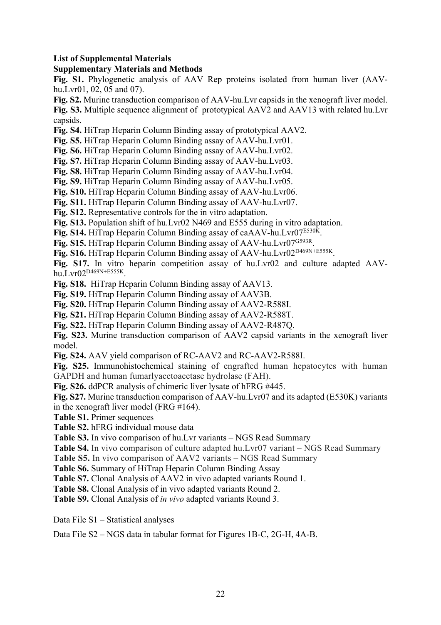## **List of Supplemental Materials**

## **Supplementary Materials and Methods**

**Fig. S1.** Phylogenetic analysis of AAV Rep proteins isolated from human liver (AAVhu.Lvr01, 02, 05 and 07).

**Fig. S2.** Murine transduction comparison of AAV-hu.Lvr capsids in the xenograft liver model.

**Fig. S3.** Multiple sequence alignment of prototypical AAV2 and AAV13 with related hu.Lvr capsids.

**Fig. S4.** HiTrap Heparin Column Binding assay of prototypical AAV2.

**Fig. S5.** HiTrap Heparin Column Binding assay of AAV-hu.Lvr01.

**Fig. S6.** HiTrap Heparin Column Binding assay of AAV-hu.Lvr02.

**Fig. S7.** HiTrap Heparin Column Binding assay of AAV-hu.Lvr03.

**Fig. S8.** HiTrap Heparin Column Binding assay of AAV-hu.Lvr04.

**Fig. S9.** HiTrap Heparin Column Binding assay of AAV-hu.Lvr05.

**Fig. S10.** HiTrap Heparin Column Binding assay of AAV-hu.Lvr06.

**Fig. S11.** HiTrap Heparin Column Binding assay of AAV-hu.Lvr07.

**Fig. S12.** Representative controls for the in vitro adaptation.

**Fig. S13.** Population shift of hu.Lvr02 N469 and E555 during in vitro adaptation.

**Fig. S14.** HiTrap Heparin Column Binding assay of caAAV-hu.Lvr07E530K.

Fig. S15. HiTrap Heparin Column Binding assay of AAV-hu.Lvr07<sup>G593R</sup>.

Fig. S16. HiTrap Heparin Column Binding assay of AAV-hu.Lvr02<sup>D469N+E555K</sup>.

**Fig. S17.** In vitro heparin competition assay of hu.Lvr02 and culture adapted AAVhu.Lvr02D469N+E555K.

**Fig. S18.** HiTrap Heparin Column Binding assay of AAV13.

**Fig. S19.** HiTrap Heparin Column Binding assay of AAV3B.

**Fig. S20.** HiTrap Heparin Column Binding assay of AAV2-R588I.

**Fig. S21.** HiTrap Heparin Column Binding assay of AAV2-R588T.

**Fig. S22.** HiTrap Heparin Column Binding assay of AAV2-R487Q.

**Fig. S23.** Murine transduction comparison of AAV2 capsid variants in the xenograft liver model.

**Fig. S24.** AAV yield comparison of RC-AAV2 and RC-AAV2-R588I.

**Fig. S25.** Immunohistochemical staining of engrafted human hepatocytes with human GAPDH and human fumarlyacetoacetase hydrolase (FAH).

**Fig. S26.** ddPCR analysis of chimeric liver lysate of hFRG #445.

**Fig. S27.** Murine transduction comparison of AAV-hu.Lvr07 and its adapted (E530K) variants in the xenograft liver model (FRG #164).

**Table S1.** Primer sequences

**Table S2.** hFRG individual mouse data

**Table S3.** In vivo comparison of hu.Lvr variants – NGS Read Summary

**Table S4.** In vivo comparison of culture adapted hu.Lvr07 variant – NGS Read Summary

**Table S5.** In vivo comparison of AAV2 variants – NGS Read Summary

**Table S6.** Summary of HiTrap Heparin Column Binding Assay

**Table S7.** Clonal Analysis of AAV2 in vivo adapted variants Round 1.

**Table S8.** Clonal Analysis of in vivo adapted variants Round 2.

**Table S9.** Clonal Analysis of *in vivo* adapted variants Round 3.

Data File S1 – Statistical analyses

Data File S2 – NGS data in tabular format for Figures 1B-C, 2G-H, 4A-B.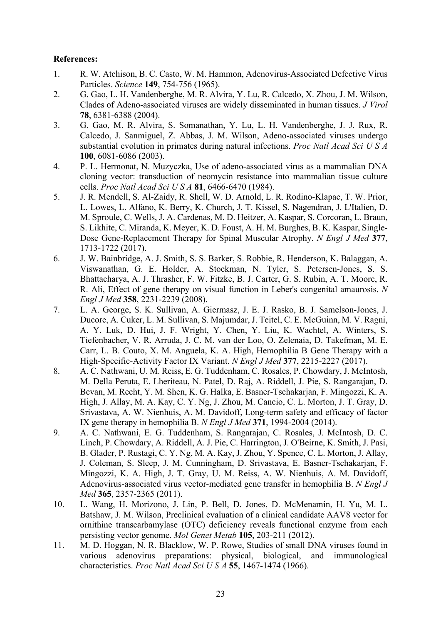# **References:**

- 1. R. W. Atchison, B. C. Casto, W. M. Hammon, Adenovirus-Associated Defective Virus Particles. *Science* **149**, 754-756 (1965).
- 2. G. Gao, L. H. Vandenberghe, M. R. Alvira, Y. Lu, R. Calcedo, X. Zhou, J. M. Wilson, Clades of Adeno-associated viruses are widely disseminated in human tissues. *J Virol* **78**, 6381-6388 (2004).
- 3. G. Gao, M. R. Alvira, S. Somanathan, Y. Lu, L. H. Vandenberghe, J. J. Rux, R. Calcedo, J. Sanmiguel, Z. Abbas, J. M. Wilson, Adeno-associated viruses undergo substantial evolution in primates during natural infections. *Proc Natl Acad Sci U S A* **100**, 6081-6086 (2003).
- 4. P. L. Hermonat, N. Muzyczka, Use of adeno-associated virus as a mammalian DNA cloning vector: transduction of neomycin resistance into mammalian tissue culture cells. *Proc Natl Acad Sci U S A* **81**, 6466-6470 (1984).
- 5. J. R. Mendell, S. Al-Zaidy, R. Shell, W. D. Arnold, L. R. Rodino-Klapac, T. W. Prior, L. Lowes, L. Alfano, K. Berry, K. Church, J. T. Kissel, S. Nagendran, J. L'Italien, D. M. Sproule, C. Wells, J. A. Cardenas, M. D. Heitzer, A. Kaspar, S. Corcoran, L. Braun, S. Likhite, C. Miranda, K. Meyer, K. D. Foust, A. H. M. Burghes, B. K. Kaspar, Single-Dose Gene-Replacement Therapy for Spinal Muscular Atrophy. *N Engl J Med* **377**, 1713-1722 (2017).
- 6. J. W. Bainbridge, A. J. Smith, S. S. Barker, S. Robbie, R. Henderson, K. Balaggan, A. Viswanathan, G. E. Holder, A. Stockman, N. Tyler, S. Petersen-Jones, S. S. Bhattacharya, A. J. Thrasher, F. W. Fitzke, B. J. Carter, G. S. Rubin, A. T. Moore, R. R. Ali, Effect of gene therapy on visual function in Leber's congenital amaurosis. *N Engl J Med* **358**, 2231-2239 (2008).
- 7. L. A. George, S. K. Sullivan, A. Giermasz, J. E. J. Rasko, B. J. Samelson-Jones, J. Ducore, A. Cuker, L. M. Sullivan, S. Majumdar, J. Teitel, C. E. McGuinn, M. V. Ragni, A. Y. Luk, D. Hui, J. F. Wright, Y. Chen, Y. Liu, K. Wachtel, A. Winters, S. Tiefenbacher, V. R. Arruda, J. C. M. van der Loo, O. Zelenaia, D. Takefman, M. E. Carr, L. B. Couto, X. M. Anguela, K. A. High, Hemophilia B Gene Therapy with a High-Specific-Activity Factor IX Variant. *N Engl J Med* **377**, 2215-2227 (2017).
- 8. A. C. Nathwani, U. M. Reiss, E. G. Tuddenham, C. Rosales, P. Chowdary, J. McIntosh, M. Della Peruta, E. Lheriteau, N. Patel, D. Raj, A. Riddell, J. Pie, S. Rangarajan, D. Bevan, M. Recht, Y. M. Shen, K. G. Halka, E. Basner-Tschakarjan, F. Mingozzi, K. A. High, J. Allay, M. A. Kay, C. Y. Ng, J. Zhou, M. Cancio, C. L. Morton, J. T. Gray, D. Srivastava, A. W. Nienhuis, A. M. Davidoff, Long-term safety and efficacy of factor IX gene therapy in hemophilia B. *N Engl J Med* **371**, 1994-2004 (2014).
- 9. A. C. Nathwani, E. G. Tuddenham, S. Rangarajan, C. Rosales, J. McIntosh, D. C. Linch, P. Chowdary, A. Riddell, A. J. Pie, C. Harrington, J. O'Beirne, K. Smith, J. Pasi, B. Glader, P. Rustagi, C. Y. Ng, M. A. Kay, J. Zhou, Y. Spence, C. L. Morton, J. Allay, J. Coleman, S. Sleep, J. M. Cunningham, D. Srivastava, E. Basner-Tschakarjan, F. Mingozzi, K. A. High, J. T. Gray, U. M. Reiss, A. W. Nienhuis, A. M. Davidoff, Adenovirus-associated virus vector-mediated gene transfer in hemophilia B. *N Engl J Med* **365**, 2357-2365 (2011).
- 10. L. Wang, H. Morizono, J. Lin, P. Bell, D. Jones, D. McMenamin, H. Yu, M. L. Batshaw, J. M. Wilson, Preclinical evaluation of a clinical candidate AAV8 vector for ornithine transcarbamylase (OTC) deficiency reveals functional enzyme from each persisting vector genome. *Mol Genet Metab* **105**, 203-211 (2012).
- 11. M. D. Hoggan, N. R. Blacklow, W. P. Rowe, Studies of small DNA viruses found in various adenovirus preparations: physical, biological, and immunological characteristics. *Proc Natl Acad Sci U S A* **55**, 1467-1474 (1966).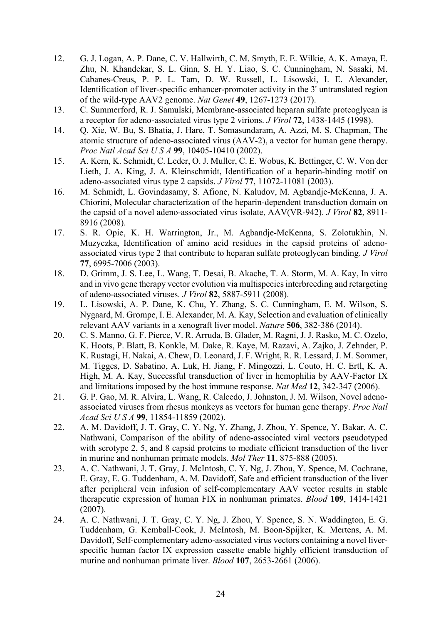- 12. G. J. Logan, A. P. Dane, C. V. Hallwirth, C. M. Smyth, E. E. Wilkie, A. K. Amaya, E. Zhu, N. Khandekar, S. L. Ginn, S. H. Y. Liao, S. C. Cunningham, N. Sasaki, M. Cabanes-Creus, P. P. L. Tam, D. W. Russell, L. Lisowski, I. E. Alexander, Identification of liver-specific enhancer-promoter activity in the 3' untranslated region of the wild-type AAV2 genome. *Nat Genet* **49**, 1267-1273 (2017).
- 13. C. Summerford, R. J. Samulski, Membrane-associated heparan sulfate proteoglycan is a receptor for adeno-associated virus type 2 virions. *J Virol* **72**, 1438-1445 (1998).
- 14. Q. Xie, W. Bu, S. Bhatia, J. Hare, T. Somasundaram, A. Azzi, M. S. Chapman, The atomic structure of adeno-associated virus (AAV-2), a vector for human gene therapy. *Proc Natl Acad Sci U S A* **99**, 10405-10410 (2002).
- 15. A. Kern, K. Schmidt, C. Leder, O. J. Muller, C. E. Wobus, K. Bettinger, C. W. Von der Lieth, J. A. King, J. A. Kleinschmidt, Identification of a heparin-binding motif on adeno-associated virus type 2 capsids. *J Virol* **77**, 11072-11081 (2003).
- 16. M. Schmidt, L. Govindasamy, S. Afione, N. Kaludov, M. Agbandje-McKenna, J. A. Chiorini, Molecular characterization of the heparin-dependent transduction domain on the capsid of a novel adeno-associated virus isolate, AAV(VR-942). *J Virol* **82**, 8911- 8916 (2008).
- 17. S. R. Opie, K. H. Warrington, Jr., M. Agbandje-McKenna, S. Zolotukhin, N. Muzyczka, Identification of amino acid residues in the capsid proteins of adenoassociated virus type 2 that contribute to heparan sulfate proteoglycan binding. *J Virol* **77**, 6995-7006 (2003).
- 18. D. Grimm, J. S. Lee, L. Wang, T. Desai, B. Akache, T. A. Storm, M. A. Kay, In vitro and in vivo gene therapy vector evolution via multispecies interbreeding and retargeting of adeno-associated viruses. *J Virol* **82**, 5887-5911 (2008).
- 19. L. Lisowski, A. P. Dane, K. Chu, Y. Zhang, S. C. Cunningham, E. M. Wilson, S. Nygaard, M. Grompe, I. E. Alexander, M. A. Kay, Selection and evaluation of clinically relevant AAV variants in a xenograft liver model. *Nature* **506**, 382-386 (2014).
- 20. C. S. Manno, G. F. Pierce, V. R. Arruda, B. Glader, M. Ragni, J. J. Rasko, M. C. Ozelo, K. Hoots, P. Blatt, B. Konkle, M. Dake, R. Kaye, M. Razavi, A. Zajko, J. Zehnder, P. K. Rustagi, H. Nakai, A. Chew, D. Leonard, J. F. Wright, R. R. Lessard, J. M. Sommer, M. Tigges, D. Sabatino, A. Luk, H. Jiang, F. Mingozzi, L. Couto, H. C. Ertl, K. A. High, M. A. Kay, Successful transduction of liver in hemophilia by AAV-Factor IX and limitations imposed by the host immune response. *Nat Med* **12**, 342-347 (2006).
- 21. G. P. Gao, M. R. Alvira, L. Wang, R. Calcedo, J. Johnston, J. M. Wilson, Novel adenoassociated viruses from rhesus monkeys as vectors for human gene therapy. *Proc Natl Acad Sci U S A* **99**, 11854-11859 (2002).
- 22. A. M. Davidoff, J. T. Gray, C. Y. Ng, Y. Zhang, J. Zhou, Y. Spence, Y. Bakar, A. C. Nathwani, Comparison of the ability of adeno-associated viral vectors pseudotyped with serotype 2, 5, and 8 capsid proteins to mediate efficient transduction of the liver in murine and nonhuman primate models. *Mol Ther* **11**, 875-888 (2005).
- 23. A. C. Nathwani, J. T. Gray, J. McIntosh, C. Y. Ng, J. Zhou, Y. Spence, M. Cochrane, E. Gray, E. G. Tuddenham, A. M. Davidoff, Safe and efficient transduction of the liver after peripheral vein infusion of self-complementary AAV vector results in stable therapeutic expression of human FIX in nonhuman primates. *Blood* **109**, 1414-1421 (2007).
- 24. A. C. Nathwani, J. T. Gray, C. Y. Ng, J. Zhou, Y. Spence, S. N. Waddington, E. G. Tuddenham, G. Kemball-Cook, J. McIntosh, M. Boon-Spijker, K. Mertens, A. M. Davidoff, Self-complementary adeno-associated virus vectors containing a novel liverspecific human factor IX expression cassette enable highly efficient transduction of murine and nonhuman primate liver. *Blood* **107**, 2653-2661 (2006).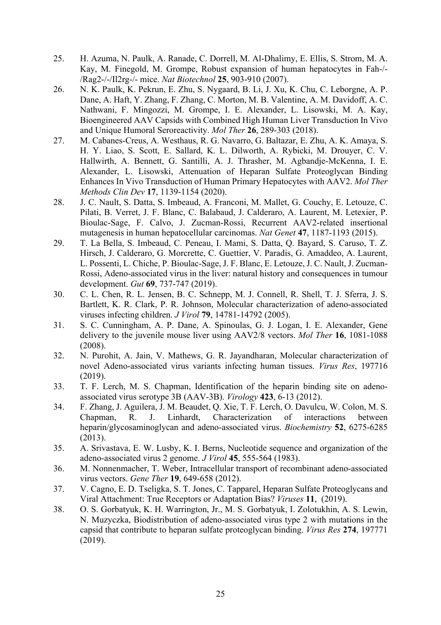- 25. H. Azuma, N. Paulk, A. Ranade, C. Dorrell, M. Al-Dhalimy, E. Ellis, S. Strom, M. A. Kay, M. Finegold, M. Grompe, Robust expansion of human hepatocytes in Fah-/- /Rag2-/-/Il2rg-/- mice. *Nat Biotechnol* **25**, 903-910 (2007).
- 26. N. K. Paulk, K. Pekrun, E. Zhu, S. Nygaard, B. Li, J. Xu, K. Chu, C. Leborgne, A. P. Dane, A. Haft, Y. Zhang, F. Zhang, C. Morton, M. B. Valentine, A. M. Davidoff, A. C. Nathwani, F. Mingozzi, M. Grompe, I. E. Alexander, L. Lisowski, M. A. Kay, Bioengineered AAV Capsids with Combined High Human Liver Transduction In Vivo and Unique Humoral Seroreactivity. *Mol Ther* **26**, 289-303 (2018).
- 27. M. Cabanes-Creus, A. Westhaus, R. G. Navarro, G. Baltazar, E. Zhu, A. K. Amaya, S. H. Y. Liao, S. Scott, E. Sallard, K. L. Dilworth, A. Rybicki, M. Drouyer, C. V. Hallwirth, A. Bennett, G. Santilli, A. J. Thrasher, M. Agbandje-McKenna, I. E. Alexander, L. Lisowski, Attenuation of Heparan Sulfate Proteoglycan Binding Enhances In Vivo Transduction of Human Primary Hepatocytes with AAV2. *Mol Ther Methods Clin Dev* **17**, 1139-1154 (2020).
- 28. J. C. Nault, S. Datta, S. Imbeaud, A. Franconi, M. Mallet, G. Couchy, E. Letouze, C. Pilati, B. Verret, J. F. Blanc, C. Balabaud, J. Calderaro, A. Laurent, M. Letexier, P. Bioulac-Sage, F. Calvo, J. Zucman-Rossi, Recurrent AAV2-related insertional mutagenesis in human hepatocellular carcinomas. *Nat Genet* **47**, 1187-1193 (2015).
- 29. T. La Bella, S. Imbeaud, C. Peneau, I. Mami, S. Datta, Q. Bayard, S. Caruso, T. Z. Hirsch, J. Calderaro, G. Morcrette, C. Guettier, V. Paradis, G. Amaddeo, A. Laurent, L. Possenti, L. Chiche, P. Bioulac-Sage, J. F. Blanc, E. Letouze, J. C. Nault, J. Zucman-Rossi, Adeno-associated virus in the liver: natural history and consequences in tumour development. *Gut* **69**, 737-747 (2019).
- 30. C. L. Chen, R. L. Jensen, B. C. Schnepp, M. J. Connell, R. Shell, T. J. Sferra, J. S. Bartlett, K. R. Clark, P. R. Johnson, Molecular characterization of adeno-associated viruses infecting children. *J Virol* **79**, 14781-14792 (2005).
- 31. S. C. Cunningham, A. P. Dane, A. Spinoulas, G. J. Logan, I. E. Alexander, Gene delivery to the juvenile mouse liver using AAV2/8 vectors. *Mol Ther* **16**, 1081-1088 (2008).
- 32. N. Purohit, A. Jain, V. Mathews, G. R. Jayandharan, Molecular characterization of novel Adeno-associated virus variants infecting human tissues. *Virus Res*, 197716 (2019).
- 33. T. F. Lerch, M. S. Chapman, Identification of the heparin binding site on adenoassociated virus serotype 3B (AAV-3B). *Virology* **423**, 6-13 (2012).
- 34. F. Zhang, J. Aguilera, J. M. Beaudet, Q. Xie, T. F. Lerch, O. Davulcu, W. Colon, M. S. Chapman, R. J. Linhardt, Characterization of interactions between heparin/glycosaminoglycan and adeno-associated virus. *Biochemistry* **52**, 6275-6285 (2013).
- 35. A. Srivastava, E. W. Lusby, K. I. Berns, Nucleotide sequence and organization of the adeno-associated virus 2 genome. *J Virol* **45**, 555-564 (1983).
- 36. M. Nonnenmacher, T. Weber, Intracellular transport of recombinant adeno-associated virus vectors. *Gene Ther* **19**, 649-658 (2012).
- 37. V. Cagno, E. D. Tseligka, S. T. Jones, C. Tapparel, Heparan Sulfate Proteoglycans and Viral Attachment: True Receptors or Adaptation Bias? *Viruses* **11**, (2019).
- 38. O. S. Gorbatyuk, K. H. Warrington, Jr., M. S. Gorbatyuk, I. Zolotukhin, A. S. Lewin, N. Muzyczka, Biodistribution of adeno-associated virus type 2 with mutations in the capsid that contribute to heparan sulfate proteoglycan binding. *Virus Res* **274**, 197771 (2019).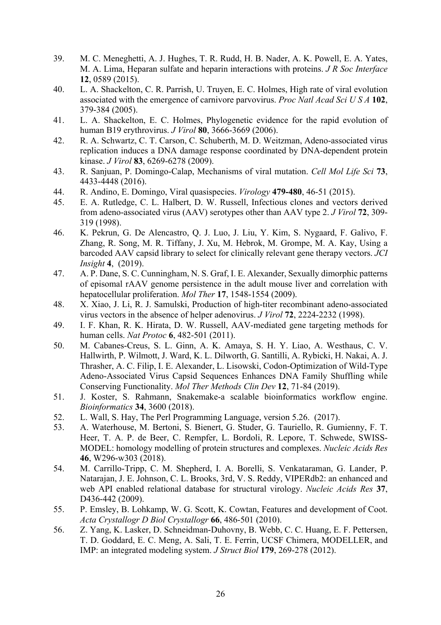- 39. M. C. Meneghetti, A. J. Hughes, T. R. Rudd, H. B. Nader, A. K. Powell, E. A. Yates, M. A. Lima, Heparan sulfate and heparin interactions with proteins. *J R Soc Interface* **12**, 0589 (2015).
- 40. L. A. Shackelton, C. R. Parrish, U. Truyen, E. C. Holmes, High rate of viral evolution associated with the emergence of carnivore parvovirus. *Proc Natl Acad Sci U S A* **102**, 379-384 (2005).
- 41. L. A. Shackelton, E. C. Holmes, Phylogenetic evidence for the rapid evolution of human B19 erythrovirus. *J Virol* **80**, 3666-3669 (2006).
- 42. R. A. Schwartz, C. T. Carson, C. Schuberth, M. D. Weitzman, Adeno-associated virus replication induces a DNA damage response coordinated by DNA-dependent protein kinase. *J Virol* **83**, 6269-6278 (2009).
- 43. R. Sanjuan, P. Domingo-Calap, Mechanisms of viral mutation. *Cell Mol Life Sci* **73**, 4433-4448 (2016).
- 44. R. Andino, E. Domingo, Viral quasispecies. *Virology* **479-480**, 46-51 (2015).
- 45. E. A. Rutledge, C. L. Halbert, D. W. Russell, Infectious clones and vectors derived from adeno-associated virus (AAV) serotypes other than AAV type 2. *J Virol* **72**, 309- 319 (1998).
- 46. K. Pekrun, G. De Alencastro, Q. J. Luo, J. Liu, Y. Kim, S. Nygaard, F. Galivo, F. Zhang, R. Song, M. R. Tiffany, J. Xu, M. Hebrok, M. Grompe, M. A. Kay, Using a barcoded AAV capsid library to select for clinically relevant gene therapy vectors. *JCI Insight* **4**, (2019).
- 47. A. P. Dane, S. C. Cunningham, N. S. Graf, I. E. Alexander, Sexually dimorphic patterns of episomal rAAV genome persistence in the adult mouse liver and correlation with hepatocellular proliferation. *Mol Ther* **17**, 1548-1554 (2009).
- 48. X. Xiao, J. Li, R. J. Samulski, Production of high-titer recombinant adeno-associated virus vectors in the absence of helper adenovirus. *J Virol* **72**, 2224-2232 (1998).
- 49. I. F. Khan, R. K. Hirata, D. W. Russell, AAV-mediated gene targeting methods for human cells. *Nat Protoc* **6**, 482-501 (2011).
- 50. M. Cabanes-Creus, S. L. Ginn, A. K. Amaya, S. H. Y. Liao, A. Westhaus, C. V. Hallwirth, P. Wilmott, J. Ward, K. L. Dilworth, G. Santilli, A. Rybicki, H. Nakai, A. J. Thrasher, A. C. Filip, I. E. Alexander, L. Lisowski, Codon-Optimization of Wild-Type Adeno-Associated Virus Capsid Sequences Enhances DNA Family Shuffling while Conserving Functionality. *Mol Ther Methods Clin Dev* **12**, 71-84 (2019).
- 51. J. Koster, S. Rahmann, Snakemake-a scalable bioinformatics workflow engine. *Bioinformatics* **34**, 3600 (2018).
- 52. L. Wall, S. Hay, The Perl Programming Language, version 5.26. (2017).
- 53. A. Waterhouse, M. Bertoni, S. Bienert, G. Studer, G. Tauriello, R. Gumienny, F. T. Heer, T. A. P. de Beer, C. Rempfer, L. Bordoli, R. Lepore, T. Schwede, SWISS-MODEL: homology modelling of protein structures and complexes. *Nucleic Acids Res* **46**, W296-w303 (2018).
- 54. M. Carrillo-Tripp, C. M. Shepherd, I. A. Borelli, S. Venkataraman, G. Lander, P. Natarajan, J. E. Johnson, C. L. Brooks, 3rd, V. S. Reddy, VIPERdb2: an enhanced and web API enabled relational database for structural virology. *Nucleic Acids Res* **37**, D436-442 (2009).
- 55. P. Emsley, B. Lohkamp, W. G. Scott, K. Cowtan, Features and development of Coot. *Acta Crystallogr D Biol Crystallogr* **66**, 486-501 (2010).
- 56. Z. Yang, K. Lasker, D. Schneidman-Duhovny, B. Webb, C. C. Huang, E. F. Pettersen, T. D. Goddard, E. C. Meng, A. Sali, T. E. Ferrin, UCSF Chimera, MODELLER, and IMP: an integrated modeling system. *J Struct Biol* **179**, 269-278 (2012).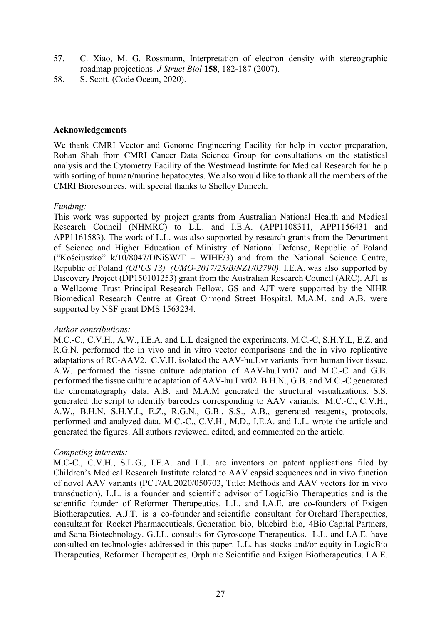- 57. C. Xiao, M. G. Rossmann, Interpretation of electron density with stereographic roadmap projections. *J Struct Biol* **158**, 182-187 (2007).
- 58. S. Scott. (Code Ocean, 2020).

## **Acknowledgements**

We thank CMRI Vector and Genome Engineering Facility for help in vector preparation, Rohan Shah from CMRI Cancer Data Science Group for consultations on the statistical analysis and the Cytometry Facility of the Westmead Institute for Medical Research for help with sorting of human/murine hepatocytes. We also would like to thank all the members of the CMRI Bioresources, with special thanks to Shelley Dimech.

## *Funding:*

This work was supported by project grants from Australian National Health and Medical Research Council (NHMRC) to L.L. and I.E.A. (APP1108311, APP1156431 and APP1161583). The work of L.L. was also supported by research grants from the Department of Science and Higher Education of Ministry of National Defense, Republic of Poland ("Kościuszko" k/10/8047/DNiSW/T – WIHE/3) and from the National Science Centre, Republic of Poland *(OPUS 13) (UMO-2017/25/B/NZ1/02790)*. I.E.A. was also supported by Discovery Project (DP150101253) grant from the Australian Research Council (ARC). AJT is a Wellcome Trust Principal Research Fellow. GS and AJT were supported by the NIHR Biomedical Research Centre at Great Ormond Street Hospital. M.A.M. and A.B. were supported by NSF grant DMS 1563234.

#### *Author contributions:*

M.C.-C., C.V.H., A.W., I.E.A. and L.L designed the experiments. M.C.-C, S.H.Y.L, E.Z. and R.G.N. performed the in vivo and in vitro vector comparisons and the in vivo replicative adaptations of RC-AAV2. C.V.H. isolated the AAV-hu.Lvr variants from human liver tissue. A.W. performed the tissue culture adaptation of AAV-hu.Lvr07 and M.C.-C and G.B. performed the tissue culture adaptation of AAV-hu.Lvr02. B.H.N., G.B. and M.C.-C generated the chromatography data. A.B. and M.A.M generated the structural visualizations. S.S. generated the script to identify barcodes corresponding to AAV variants. M.C.-C., C.V.H., A.W., B.H.N, S.H.Y.L, E.Z., R.G.N., G.B., S.S., A.B., generated reagents, protocols, performed and analyzed data. M.C.-C., C.V.H., M.D., I.E.A. and L.L. wrote the article and generated the figures. All authors reviewed, edited, and commented on the article.

#### *Competing interests:*

M.C-C., C.V.H., S.L.G., I.E.A. and L.L. are inventors on patent applications filed by Children's Medical Research Institute related to AAV capsid sequences and in vivo function of novel AAV variants (PCT/AU2020/050703, Title: Methods and AAV vectors for in vivo transduction). L.L. is a founder and scientific advisor of LogicBio Therapeutics and is the scientific founder of Reformer Therapeutics. L.L. and I.A.E. are co-founders of Exigen Biotherapeutics. A.J.T. is a co-founder and scientific consultant for Orchard Therapeutics, consultant for Rocket Pharmaceuticals, Generation bio, bluebird bio, 4Bio Capital Partners, and Sana Biotechnology. G.J.L. consults for Gyroscope Therapeutics. L.L. and I.A.E. have consulted on technologies addressed in this paper. L.L. has stocks and/or equity in LogicBio Therapeutics, Reformer Therapeutics, Orphinic Scientific and Exigen Biotherapeutics. I.A.E.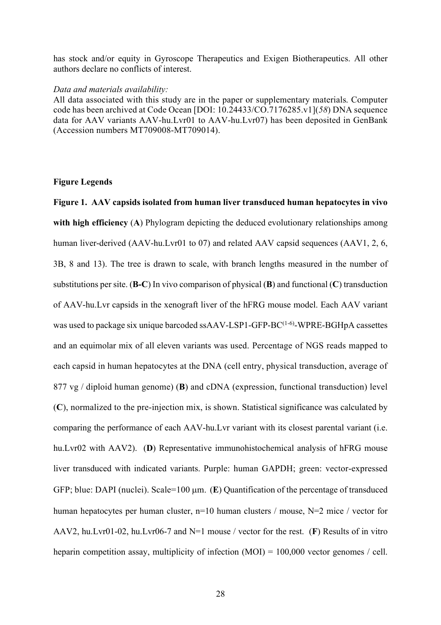has stock and/or equity in Gyroscope Therapeutics and Exigen Biotherapeutics. All other authors declare no conflicts of interest.

#### *Data and materials availability:*

All data associated with this study are in the paper or supplementary materials. Computer code has been archived at Code Ocean [DOI: 10.24433/CO.7176285.v1](*58*) DNA sequence data for AAV variants AAV-hu.Lvr01 to AAV-hu.Lvr07) has been deposited in GenBank (Accession numbers MT709008-MT709014).

#### **Figure Legends**

**Figure 1. AAV capsids isolated from human liver transduced human hepatocytes in vivo**  with high efficiency (A) Phylogram depicting the deduced evolutionary relationships among human liver-derived (AAV-hu.Lvr01 to 07) and related AAV capsid sequences (AAV1, 2, 6, 3B, 8 and 13). The tree is drawn to scale, with branch lengths measured in the number of substitutions per site. (**B-C**) In vivo comparison of physical (**B**) and functional (**C**) transduction of AAV-hu.Lvr capsids in the xenograft liver of the hFRG mouse model. Each AAV variant was used to package six unique barcoded ssAAV-LSP1-GFP-BC(1-6)-WPRE-BGHpA cassettes and an equimolar mix of all eleven variants was used. Percentage of NGS reads mapped to each capsid in human hepatocytes at the DNA (cell entry, physical transduction, average of 877 vg / diploid human genome) (**B**) and cDNA (expression, functional transduction) level (**C**), normalized to the pre-injection mix, is shown. Statistical significance was calculated by comparing the performance of each AAV-hu.Lvr variant with its closest parental variant (i.e. hu.Lvr02 with AAV2). (**D**) Representative immunohistochemical analysis of hFRG mouse liver transduced with indicated variants. Purple: human GAPDH; green: vector-expressed GFP; blue: DAPI (nuclei). Scale=100 µm. (**E**) Quantification of the percentage of transduced human hepatocytes per human cluster,  $n=10$  human clusters / mouse, N=2 mice / vector for AAV2, hu.Lvr01-02, hu.Lvr06-7 and N=1 mouse / vector for the rest. (**F**) Results of in vitro heparin competition assay, multiplicity of infection  $(MOI) = 100,000$  vector genomes / cell.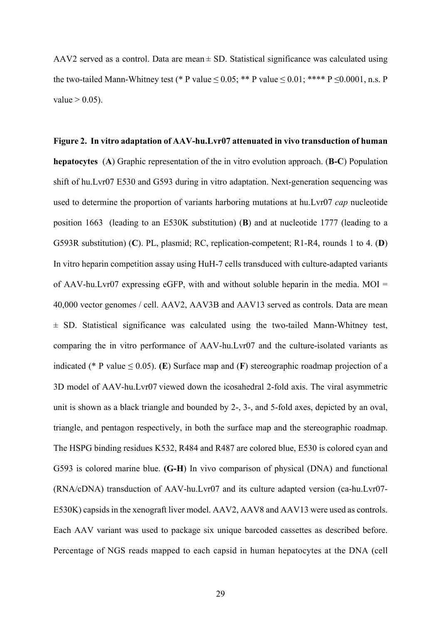AAV2 served as a control. Data are mean  $\pm$  SD. Statistical significance was calculated using the two-tailed Mann-Whitney test (\* P value  $\leq 0.05$ ; \*\* P value  $\leq 0.01$ ; \*\*\*\* P  $\leq 0.0001$ , n.s. P value  $> 0.05$ ).

# **Figure 2. In vitro adaptation of AAV-hu.Lvr07 attenuated in vivo transduction of human hepatocytes** (**A**) Graphic representation of the in vitro evolution approach. (**B-C**) Population shift of hu.Lvr07 E530 and G593 during in vitro adaptation. Next-generation sequencing was used to determine the proportion of variants harboring mutations at hu.Lvr07 *cap* nucleotide position 1663 (leading to an E530K substitution) (**B**) and at nucleotide 1777 (leading to a G593R substitution) (**C**). PL, plasmid; RC, replication-competent; R1-R4, rounds 1 to 4. (**D**) In vitro heparin competition assay using HuH-7 cells transduced with culture-adapted variants of AAV-hu.Lvr07 expressing eGFP, with and without soluble heparin in the media. MOI = 40,000 vector genomes / cell. AAV2, AAV3B and AAV13 served as controls. Data are mean ± SD. Statistical significance was calculated using the two-tailed Mann-Whitney test, comparing the in vitro performance of AAV-hu.Lvr07 and the culture-isolated variants as indicated (\* P value  $\leq$  0.05). **(E)** Surface map and **(F)** stereographic roadmap projection of a 3D model of AAV-hu.Lvr07 viewed down the icosahedral 2-fold axis. The viral asymmetric unit is shown as a black triangle and bounded by 2-, 3-, and 5-fold axes, depicted by an oval, triangle, and pentagon respectively, in both the surface map and the stereographic roadmap. The HSPG binding residues K532, R484 and R487 are colored blue, E530 is colored cyan and G593 is colored marine blue. **(G-H**) In vivo comparison of physical (DNA) and functional (RNA/cDNA) transduction of AAV-hu.Lvr07 and its culture adapted version (ca-hu.Lvr07- E530K) capsids in the xenograft liver model. AAV2, AAV8 and AAV13 were used as controls. Each AAV variant was used to package six unique barcoded cassettes as described before. Percentage of NGS reads mapped to each capsid in human hepatocytes at the DNA (cell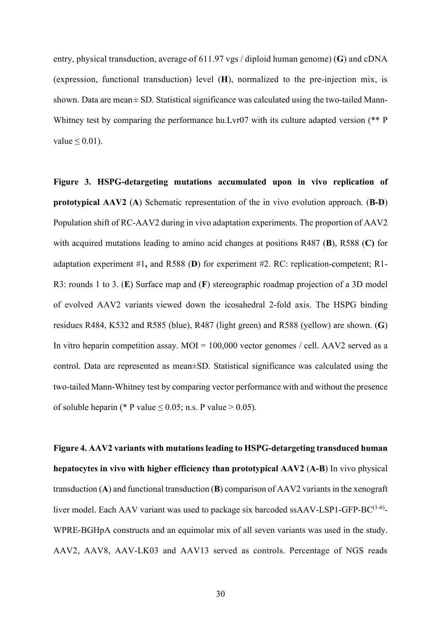entry, physical transduction, average of 611.97 vgs / diploid human genome) (**G**) and cDNA (expression, functional transduction) level (**H**), normalized to the pre-injection mix, is shown. Data are mean $\pm$  SD. Statistical significance was calculated using the two-tailed Mann-Whitney test by comparing the performance hu.Lvr07 with its culture adapted version (\*\* P value  $\leq 0.01$ ).

**Figure 3. HSPG-detargeting mutations accumulated upon in vivo replication of prototypical AAV2** (**A**) Schematic representation of the in vivo evolution approach. (**B-D**) Population shift of RC-AAV2 during in vivo adaptation experiments. The proportion of AAV2 with acquired mutations leading to amino acid changes at positions R487 (**B**), R588 (**C)** for adaptation experiment #1**,** and R588 (**D**) for experiment #2. RC: replication-competent; R1- R3: rounds 1 to 3. (**E**) Surface map and (**F**) stereographic roadmap projection of a 3D model of evolved AAV2 variants viewed down the icosahedral 2-fold axis. The HSPG binding residues R484, K532 and R585 (blue), R487 (light green) and R588 (yellow) are shown. (**G**) In vitro heparin competition assay.  $MOI = 100,000$  vector genomes / cell. AAV2 served as a control. Data are represented as mean±SD. Statistical significance was calculated using the two-tailed Mann-Whitney test by comparing vector performance with and without the presence of soluble heparin (\* P value  $\leq 0.05$ ; n.s. P value  $> 0.05$ ).

**Figure 4. AAV2 variants with mutations leading to HSPG-detargeting transduced human hepatocytes in vivo with higher efficiency than prototypical AAV2** (**A-B**) In vivo physical transduction (**A**) and functional transduction (**B**) comparison of AAV2 variants in the xenograft liver model. Each AAV variant was used to package six barcoded ssAAV-LSP1-GFP-BC $^{(1-6)}$ -WPRE-BGHpA constructs and an equimolar mix of all seven variants was used in the study. AAV2, AAV8, AAV-LK03 and AAV13 served as controls. Percentage of NGS reads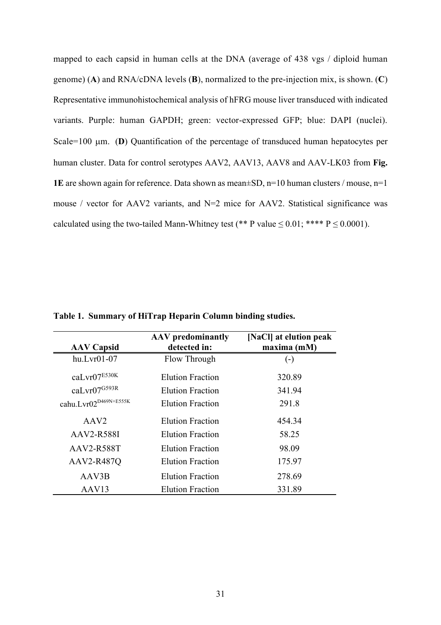mapped to each capsid in human cells at the DNA (average of 438 vgs / diploid human genome) (**A**) and RNA/cDNA levels (**B**), normalized to the pre-injection mix, is shown. (**C**) Representative immunohistochemical analysis of hFRG mouse liver transduced with indicated variants. Purple: human GAPDH; green: vector-expressed GFP; blue: DAPI (nuclei). Scale=100 µm. (**D**) Quantification of the percentage of transduced human hepatocytes per human cluster. Data for control serotypes AAV2, AAV13, AAV8 and AAV-LK03 from **Fig. 1E** are shown again for reference. Data shown as mean±SD, n=10 human clusters / mouse, n=1 mouse / vector for AAV2 variants, and N=2 mice for AAV2. Statistical significance was calculated using the two-tailed Mann-Whitney test (\*\* P value  $\leq 0.01$ ; \*\*\*\* P  $\leq 0.0001$ ).

|                                   | <b>AAV</b> predominantly | [NaCl] at elution peak |  |
|-----------------------------------|--------------------------|------------------------|--|
| <b>AAV</b> Capsid                 | detected in:             | maxima (mM)            |  |
| $hu.Lvr01-07$                     | Flow Through             | $(-)$                  |  |
| caLvr07E530K                      | Elution Fraction         | 320.89                 |  |
| caLvr07G593R                      | <b>Elution Fraction</b>  | 341.94                 |  |
| cahu.Lvr02 <sup>D469N+E555K</sup> | <b>Elution Fraction</b>  | 291.8                  |  |
| AAV <sub>2</sub>                  | Elution Fraction         | 454.34                 |  |
| <b>AAV2-R588I</b>                 | Elution Fraction         | 58.25                  |  |
| <b>AAV2-R588T</b>                 | Elution Fraction         | 98.09                  |  |
| AAV2-R487Q                        | <b>Elution Fraction</b>  | 175.97                 |  |
| AAV3B                             | <b>Elution Fraction</b>  | 278.69                 |  |
| AAV <sub>13</sub>                 | <b>Elution Fraction</b>  | 331.89                 |  |

**Table 1. Summary of HiTrap Heparin Column binding studies.**